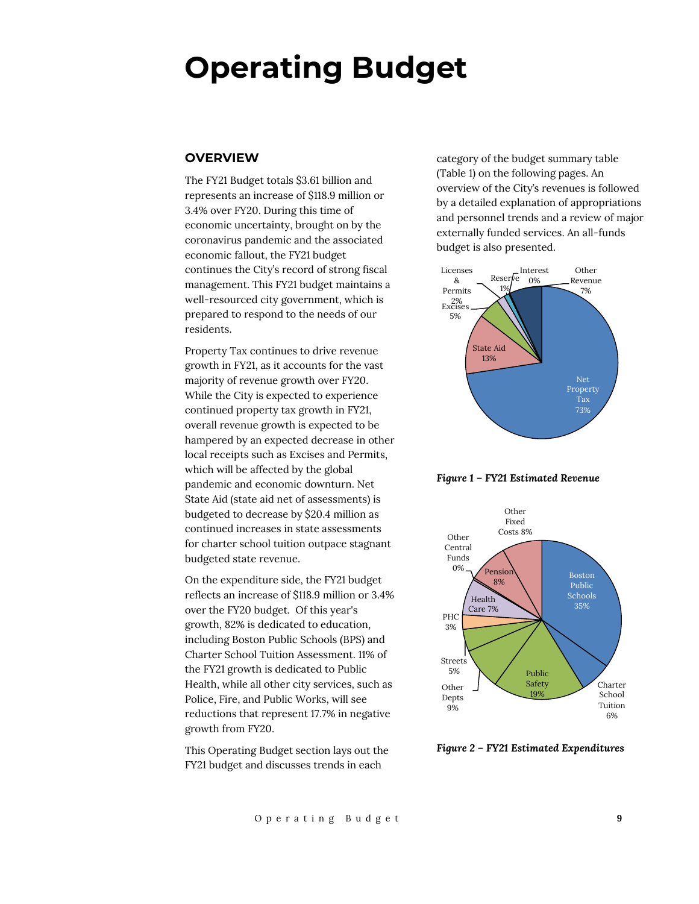# **Operating Budget**

## **OVERVIEW**

The FY21 Budget totals \$3.61 billion and represents an increase of \$118.9 million or 3.4% over FY20. During this time of economic uncertainty, brought on by the coronavirus pandemic and the associated economic fallout, the FY21 budget continues the City's record of strong fiscal management. This FY21 budget maintains a well-resourced city government, which is prepared to respond to the needs of our residents.

Property Tax continues to drive revenue growth in FY21, as it accounts for the vast majority of revenue growth over FY20. While the City is expected to experience continued property tax growth in FY21, overall revenue growth is expected to be hampered by an expected decrease in other local receipts such as Excises and Permits, which will be affected by the global pandemic and economic downturn. Net State Aid (state aid net of assessments) is budgeted to decrease by \$20.4 million as continued increases in state assessments for charter school tuition outpace stagnant budgeted state revenue.

On the expenditure side, the FY21 budget reflects an increase of \$118.9 million or 3.4% over the FY20 budget. Of this year's growth, 82% is dedicated to education, including Boston Public Schools (BPS) and Charter School Tuition Assessment. 11% of the FY21 growth is dedicated to Public Health, while all other city services, such as Police, Fire, and Public Works, will see reductions that represent 17.7% in negative growth from FY20.

This Operating Budget section lays out the FY21 budget and discusses trends in each

category of the budget summary table (Table 1) on the following pages. An overview of the City's revenues is followed by a detailed explanation of appropriations and personnel trends and a review of major externally funded services. An all-funds budget is also presented.



*Figure 1 – FY21 Estimated Revenue*



*Figure 2 – FY21 Estimated Expenditures*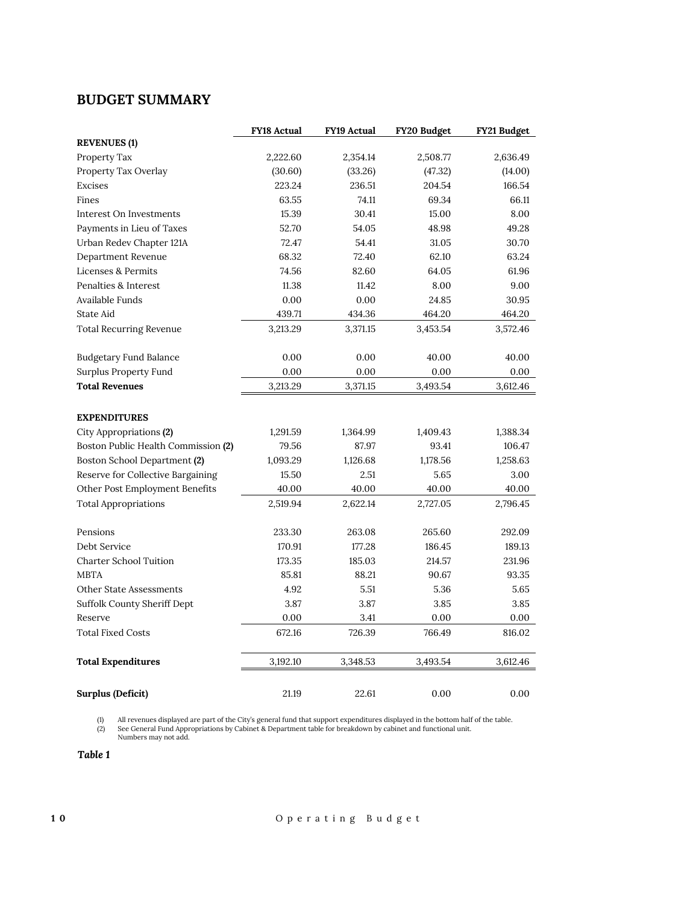## **BUDGET SUMMARY**

|                                     | <b>FY18 Actual</b> | <b>FY19 Actual</b> | FY20 Budget | FY21 Budget |
|-------------------------------------|--------------------|--------------------|-------------|-------------|
| <b>REVENUES</b> (1)                 |                    |                    |             |             |
| Property Tax                        | 2,222.60           | 2,354.14           | 2,508.77    | 2,636.49    |
| Property Tax Overlay                | (30.60)            | (33.26)            | (47.32)     | (14.00)     |
| Excises                             | 223.24             | 236.51             | 204.54      | 166.54      |
| Fines                               | 63.55              | 74.11              | 69.34       | 66.11       |
| Interest On Investments             | 15.39              | 30.41              | 15.00       | 8.00        |
| Payments in Lieu of Taxes           | 52.70              | 54.05              | 48.98       | 49.28       |
| Urban Redev Chapter 121A            | 72.47              | 54.41              | 31.05       | 30.70       |
| Department Revenue                  | 68.32              | 72.40              | 62.10       | 63.24       |
| Licenses & Permits                  | 74.56              | 82.60              | 64.05       | 61.96       |
| Penalties & Interest                | 11.38              | 11.42              | 8.00        | 9.00        |
| Available Funds                     | 0.00               | 0.00               | 24.85       | 30.95       |
| State Aid                           | 439.71             | 434.36             | 464.20      | 464.20      |
| <b>Total Recurring Revenue</b>      | 3,213.29           | 3,371.15           | 3,453.54    | 3,572.46    |
|                                     |                    |                    |             |             |
| <b>Budgetary Fund Balance</b>       | 0.00               | 0.00               | 40.00       | 40.00       |
| Surplus Property Fund               | 0.00               | 0.00               | 0.00        | 0.00        |
| <b>Total Revenues</b>               | 3,213.29           | 3,371.15           | 3,493.54    | 3,612.46    |
|                                     |                    |                    |             |             |
| <b>EXPENDITURES</b>                 |                    |                    |             |             |
| City Appropriations (2)             | 1,291.59           | 1,364.99           | 1,409.43    | 1,388.34    |
| Boston Public Health Commission (2) | 79.56              | 87.97              | 93.41       | 106.47      |
| Boston School Department (2)        | 1,093.29           | 1,126.68           | 1,178.56    | 1,258.63    |
| Reserve for Collective Bargaining   | 15.50              | 2.51               | 5.65        | 3.00        |
| Other Post Employment Benefits      | 40.00              | 40.00              | 40.00       | 40.00       |
| <b>Total Appropriations</b>         | 2,519.94           | 2,622.14           | 2,727.05    | 2,796.45    |
|                                     |                    |                    |             |             |
| Pensions                            | 233.30             | 263.08             | 265.60      | 292.09      |
| Debt Service                        | 170.91             | 177.28             | 186.45      | 189.13      |
| <b>Charter School Tuition</b>       | 173.35             | 185.03             | 214.57      | 231.96      |
| <b>MBTA</b>                         | 85.81              | 88.21              | 90.67       | 93.35       |
| <b>Other State Assessments</b>      | 4.92               | 5.51               | 5.36        | 5.65        |
| Suffolk County Sheriff Dept         | 3.87               | 3.87               | 3.85        | 3.85        |
| Reserve                             | 0.00               | 3.41               | 0.00        | 0.00        |
| <b>Total Fixed Costs</b>            | 672.16             | 726.39             | 766.49      | 816.02      |
| <b>Total Expenditures</b>           | 3,192.10           | 3,348.53           | 3,493.54    | 3,612.46    |
|                                     |                    |                    |             |             |
| <b>Surplus (Deficit)</b>            | 21.19              | 22.61              | 0.00        | 0.00        |

(1) All revenues displayed are part of the City's general fund that support expenditures displayed in the bottom half of the table.<br>(2) See General Fund Appropriations by Cabinet & Department table for breakdown by cabinet

*Table 1*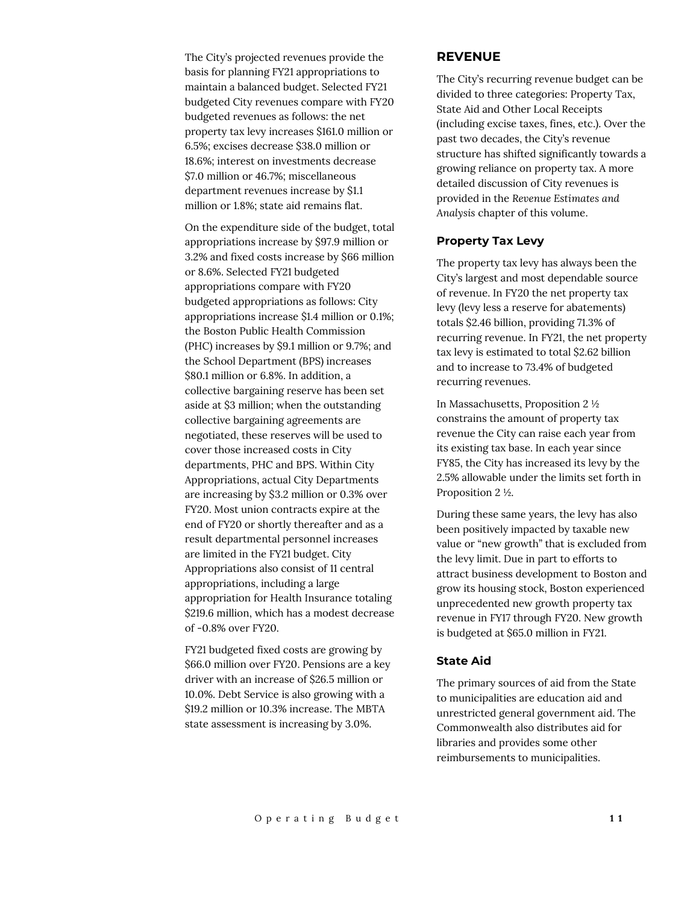The City's projected revenues provide the basis for planning FY21 appropriations to maintain a balanced budget. Selected FY21 budgeted City revenues compare with FY20 budgeted revenues as follows: the net property tax levy increases \$161.0 million or 6.5%; excises decrease \$38.0 million or 18.6%; interest on investments decrease \$7.0 million or 46.7%; miscellaneous department revenues increase by \$1.1 million or 1.8%; state aid remains flat.

On the expenditure side of the budget, total appropriations increase by \$97.9 million or 3.2% and fixed costs increase by \$66 million or 8.6%. Selected FY21 budgeted appropriations compare with FY20 budgeted appropriations as follows: City appropriations increase \$1.4 million or 0.1%; the Boston Public Health Commission (PHC) increases by \$9.1 million or 9.7%; and the School Department (BPS) increases \$80.1 million or 6.8%. In addition, a collective bargaining reserve has been set aside at \$3 million; when the outstanding collective bargaining agreements are negotiated, these reserves will be used to cover those increased costs in City departments, PHC and BPS. Within City Appropriations, actual City Departments are increasing by \$3.2 million or 0.3% over FY20. Most union contracts expire at the end of FY20 or shortly thereafter and as a result departmental personnel increases are limited in the FY21 budget. City Appropriations also consist of 11 central appropriations, including a large appropriation for Health Insurance totaling \$219.6 million, which has a modest decrease of -0.8% over FY20.

FY21 budgeted fixed costs are growing by \$66.0 million over FY20. Pensions are a key driver with an increase of \$26.5 million or 10.0%. Debt Service is also growing with a \$19.2 million or 10.3% increase. The MBTA state assessment is increasing by 3.0%.

## **REVENUE**

The City's recurring revenue budget can be divided to three categories: Property Tax, State Aid and Other Local Receipts (including excise taxes, fines, etc.). Over the past two decades, the City's revenue structure has shifted significantly towards a growing reliance on property tax. A more detailed discussion of City revenues is provided in the *Revenue Estimates and Analysis* chapter of this volume.

#### **Property Tax Levy**

The property tax levy has always been the City's largest and most dependable source of revenue. In FY20 the net property tax levy (levy less a reserve for abatements) totals \$2.46 billion, providing 71.3% of recurring revenue. In FY21, the net property tax levy is estimated to total \$2.62 billion and to increase to 73.4% of budgeted recurring revenues.

In Massachusetts, Proposition 2 ½ constrains the amount of property tax revenue the City can raise each year from its existing tax base. In each year since FY85, the City has increased its levy by the 2.5% allowable under the limits set forth in Proposition 2 ½.

During these same years, the levy has also been positively impacted by taxable new value or "new growth" that is excluded from the levy limit. Due in part to efforts to attract business development to Boston and grow its housing stock, Boston experienced unprecedented new growth property tax revenue in FY17 through FY20. New growth is budgeted at \$65.0 million in FY21.

## **State Aid**

The primary sources of aid from the State to municipalities are education aid and unrestricted general government aid. The Commonwealth also distributes aid for libraries and provides some other reimbursements to municipalities.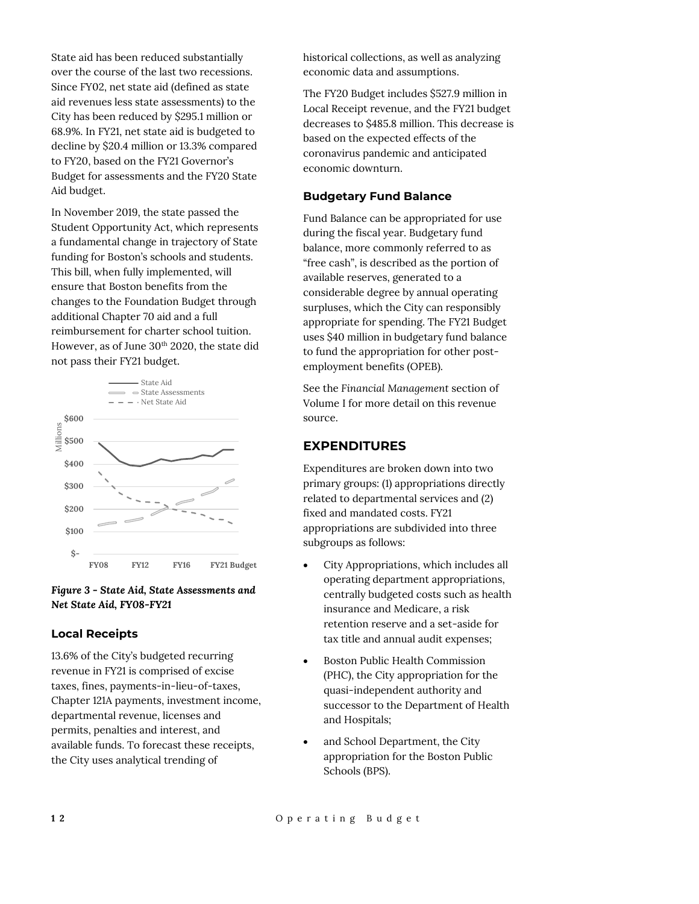State aid has been reduced substantially over the course of the last two recessions. Since FY02, net state aid (defined as state aid revenues less state assessments) to the City has been reduced by \$295.1 million or 68.9%. In FY21, net state aid is budgeted to decline by \$20.4 million or 13.3% compared to FY20, based on the FY21 Governor's Budget for assessments and the FY20 State Aid budget.

In November 2019, the state passed the Student Opportunity Act, which represents a fundamental change in trajectory of State funding for Boston's schools and students. This bill, when fully implemented, will ensure that Boston benefits from the changes to the Foundation Budget through additional Chapter 70 aid and a full reimbursement for charter school tuition. However, as of June 30<sup>th</sup> 2020, the state did not pass their FY21 budget.



## *Figure 3 - State Aid, State Assessments and Net State Aid, FY08-FY21*

## **Local Receipts**

13.6% of the City's budgeted recurring revenue in FY21 is comprised of excise taxes, fines, payments-in-lieu-of-taxes, Chapter 121A payments, investment income, departmental revenue, licenses and permits, penalties and interest, and available funds. To forecast these receipts, the City uses analytical trending of

historical collections, as well as analyzing economic data and assumptions.

The FY20 Budget includes \$527.9 million in Local Receipt revenue, and the FY21 budget decreases to \$485.8 million. This decrease is based on the expected effects of the coronavirus pandemic and anticipated economic downturn.

## **Budgetary Fund Balance**

Fund Balance can be appropriated for use during the fiscal year. Budgetary fund balance, more commonly referred to as "free cash", is described as the portion of available reserves, generated to a considerable degree by annual operating surpluses, which the City can responsibly appropriate for spending. The FY21 Budget uses \$40 million in budgetary fund balance to fund the appropriation for other postemployment benefits (OPEB).

See the *Financial Management* section of Volume I for more detail on this revenue source.

## **EXPENDITURES**

Expenditures are broken down into two primary groups: (1) appropriations directly related to departmental services and (2) fixed and mandated costs. FY21 appropriations are subdivided into three subgroups as follows:

- City Appropriations, which includes all operating department appropriations, centrally budgeted costs such as health insurance and Medicare, a risk retention reserve and a set-aside for tax title and annual audit expenses;
- Boston Public Health Commission (PHC), the City appropriation for the quasi-independent authority and successor to the Department of Health and Hospitals;
- and School Department, the City appropriation for the Boston Public Schools (BPS).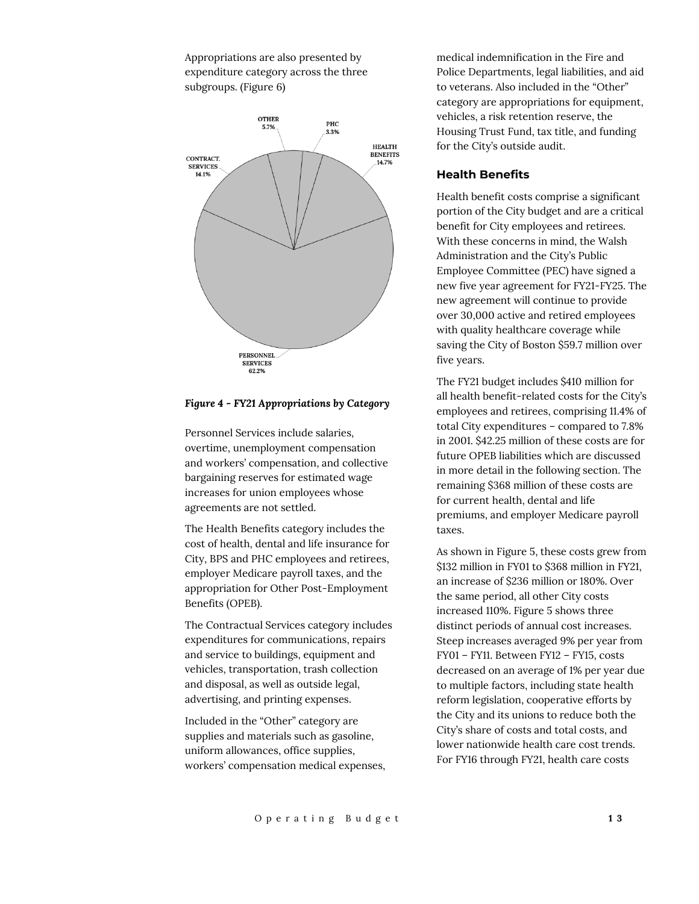Appropriations are also presented by expenditure category across the three subgroups. (Figure 6)



#### *Figure 4 - FY21 Appropriations by Category*

Personnel Services include salaries, overtime, unemployment compensation and workers' compensation, and collective bargaining reserves for estimated wage increases for union employees whose agreements are not settled.

The Health Benefits category includes the cost of health, dental and life insurance for City, BPS and PHC employees and retirees, employer Medicare payroll taxes, and the appropriation for Other Post-Employment Benefits (OPEB).

The Contractual Services category includes expenditures for communications, repairs and service to buildings, equipment and vehicles, transportation, trash collection and disposal, as well as outside legal, advertising, and printing expenses.

Included in the "Other" category are supplies and materials such as gasoline, uniform allowances, office supplies, workers' compensation medical expenses,

medical indemnification in the Fire and Police Departments, legal liabilities, and aid to veterans. Also included in the "Other" category are appropriations for equipment, vehicles, a risk retention reserve, the Housing Trust Fund, tax title, and funding for the City's outside audit.

#### **Health Benefits**

Health benefit costs comprise a significant portion of the City budget and are a critical benefit for City employees and retirees. With these concerns in mind, the Walsh Administration and the City's Public Employee Committee (PEC) have signed a new five year agreement for FY21-FY25. The new agreement will continue to provide over 30,000 active and retired employees with quality healthcare coverage while saving the City of Boston \$59.7 million over five years.

The FY21 budget includes \$410 million for all health benefit-related costs for the City's employees and retirees, comprising 11.4% of total City expenditures – compared to 7.8% in 2001. \$42.25 million of these costs are for future OPEB liabilities which are discussed in more detail in the following section. The remaining \$368 million of these costs are for current health, dental and life premiums, and employer Medicare payroll taxes.

As shown in Figure 5, these costs grew from \$132 million in FY01 to \$368 million in FY21, an increase of \$236 million or 180%. Over the same period, all other City costs increased 110%. Figure 5 shows three distinct periods of annual cost increases. Steep increases averaged 9% per year from FY01 – FY11. Between FY12 – FY15, costs decreased on an average of 1% per year due to multiple factors, including state health reform legislation, cooperative efforts by the City and its unions to reduce both the City's share of costs and total costs, and lower nationwide health care cost trends. For FY16 through FY21, health care costs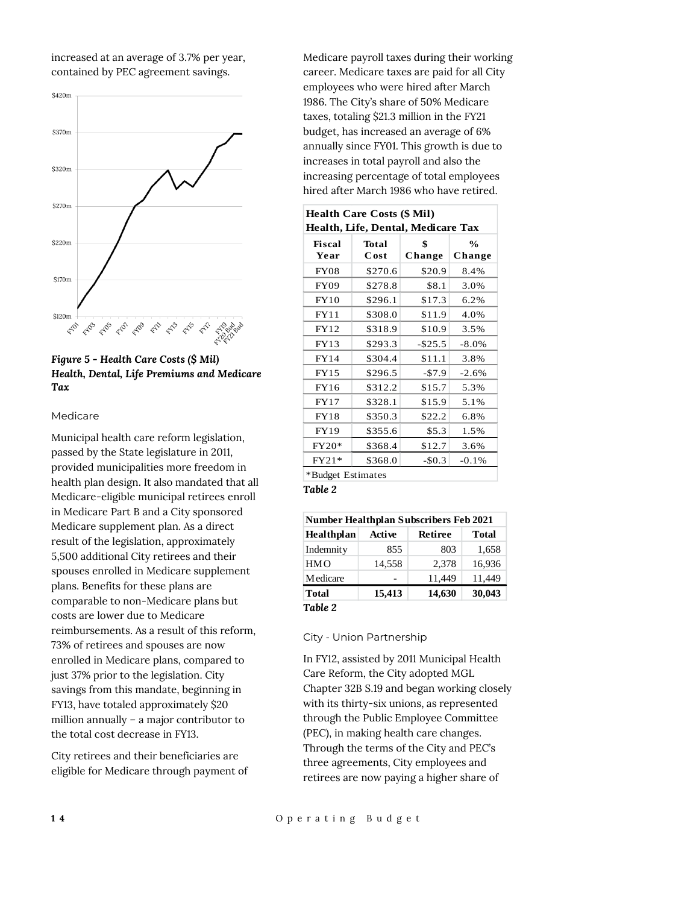increased at an average of 3.7% per year, contained by PEC agreement savings.





#### Medicare

Municipal health care reform legislation, passed by the State legislature in 2011, provided municipalities more freedom in health plan design. It also mandated that all Medicare-eligible municipal retirees enroll in Medicare Part B and a City sponsored Medicare supplement plan. As a direct result of the legislation, approximately 5,500 additional City retirees and their spouses enrolled in Medicare supplement plans. Benefits for these plans are comparable to non-Medicare plans but costs are lower due to Medicare reimbursements. As a result of this reform, 73% of retirees and spouses are now enrolled in Medicare plans, compared to just 37% prior to the legislation. City savings from this mandate, beginning in FY13, have totaled approximately \$20 million annually – a major contributor to the total cost decrease in FY13.

City retirees and their beneficiaries are eligible for Medicare through payment of Medicare payroll taxes during their working career. Medicare taxes are paid for all City employees who were hired after March 1986. The City's share of 50% Medicare taxes, totaling \$21.3 million in the FY21 budget, has increased an average of 6% annually since FY01. This growth is due to increases in total payroll and also the increasing percentage of total employees hired after March 1986 who have retired.

| <b>Health Care Costs (\$ Mil)</b><br>Health, Life, Dental, Medicare Tax |         |            |               |  |  |  |
|-------------------------------------------------------------------------|---------|------------|---------------|--|--|--|
| Fiscal                                                                  | Total   | \$         | $\frac{0}{0}$ |  |  |  |
| Year                                                                    | Cost    | Change     | Change        |  |  |  |
| <b>FY08</b>                                                             | \$270.6 | \$20.9     | 8.4%          |  |  |  |
| <b>FY09</b>                                                             | \$278.8 | \$8.1      | 3.0%          |  |  |  |
| FY10                                                                    | \$296.1 | \$17.3     | 6.2%          |  |  |  |
| <b>FY11</b>                                                             | \$308.0 | \$11.9     | 4.0%          |  |  |  |
| FY12                                                                    | \$318.9 | \$10.9     | 3.5%          |  |  |  |
| FY13                                                                    | \$293.3 | $-$ \$25.5 | $-8.0\%$      |  |  |  |
| <b>FY14</b>                                                             | \$304.4 | \$11.1     | 3.8%          |  |  |  |
| <b>FY15</b>                                                             | \$296.5 | $-57.9$    | $-2.6%$       |  |  |  |
| FY16                                                                    | \$312.2 | \$15.7     | 5.3%          |  |  |  |
| <b>FY17</b>                                                             | \$328.1 | \$15.9     | 5.1%          |  |  |  |
| <b>FY18</b>                                                             | \$350.3 | \$22.2     | 6.8%          |  |  |  |
| FY19                                                                    | \$355.6 | \$5.3      | 1.5%          |  |  |  |
| $FY20*$                                                                 | \$368.4 | \$12.7     | 3.6%          |  |  |  |
| $FY21*$                                                                 | \$368.0 | $-$0.3$    | $-0.1%$       |  |  |  |
| *Budget Estimates                                                       |         |            |               |  |  |  |

*Table 2*

| <b>Number Healthplan Subscribers Feb 2021</b> |               |         |        |  |  |  |
|-----------------------------------------------|---------------|---------|--------|--|--|--|
| Healthplan                                    | <b>Active</b> | Retiree | Total  |  |  |  |
| Indemnity                                     | 855           | 803     | 1,658  |  |  |  |
| <b>HMO</b>                                    | 14,558        | 2,378   | 16,936 |  |  |  |
| <b>Medicare</b>                               |               | 11,449  | 11,449 |  |  |  |
| Total                                         | 15,413        | 14,630  | 30,043 |  |  |  |
| Table 2                                       |               |         |        |  |  |  |

City - Union Partnership

In FY12, assisted by 2011 Municipal Health Care Reform, the City adopted MGL Chapter 32B S.19 and began working closely with its thirty-six unions, as represented through the Public Employee Committee (PEC), in making health care changes. Through the terms of the City and PEC's three agreements, City employees and retirees are now paying a higher share of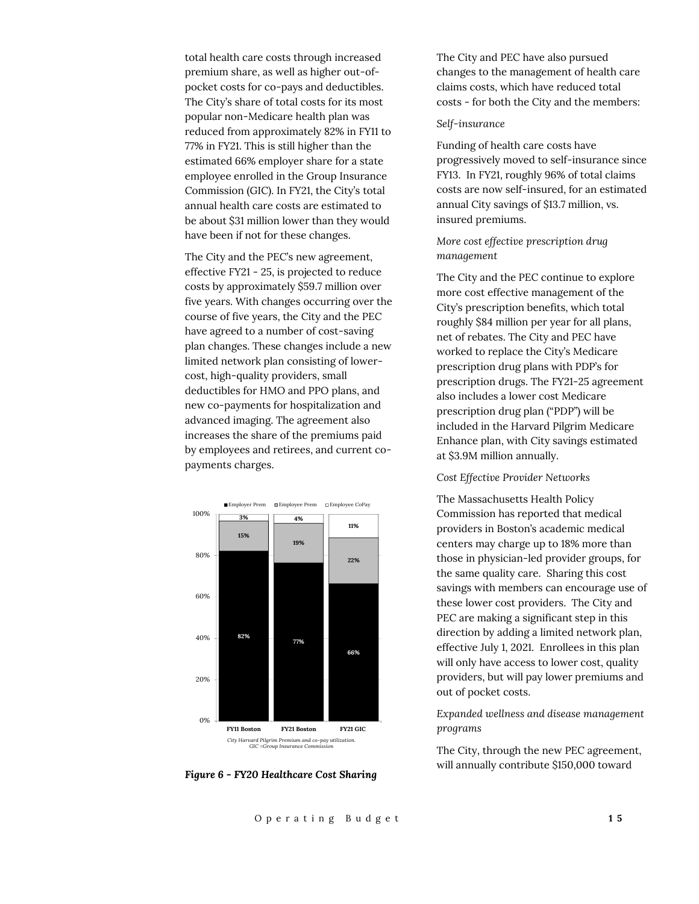total health care costs through increased premium share, as well as higher out-ofpocket costs for co-pays and deductibles. The City's share of total costs for its most popular non-Medicare health plan was reduced from approximately 82% in FY11 to 77% in FY21. This is still higher than the estimated 66% employer share for a state employee enrolled in the Group Insurance Commission (GIC). In FY21, the City's total annual health care costs are estimated to be about \$31 million lower than they would have been if not for these changes.

The City and the PEC's new agreement, effective FY21 - 25, is projected to reduce costs by approximately \$59.7 million over five years. With changes occurring over the course of five years, the City and the PEC have agreed to a number of cost-saving plan changes. These changes include a new limited network plan consisting of lowercost, high-quality providers, small deductibles for HMO and PPO plans, and new co-payments for hospitalization and advanced imaging. The agreement also increases the share of the premiums paid by employees and retirees, and current copayments charges.



*Figure 6 - FY20 Healthcare Cost Sharing*

The City and PEC have also pursued changes to the management of health care claims costs, which have reduced total costs - for both the City and the members:

#### *Self-insurance*

Funding of health care costs have progressively moved to self-insurance since FY13. In FY21, roughly 96% of total claims costs are now self-insured, for an estimated annual City savings of \$13.7 million, vs. insured premiums.

#### *More cost effective prescription drug management*

The City and the PEC continue to explore more cost effective management of the City's prescription benefits, which total roughly \$84 million per year for all plans, net of rebates. The City and PEC have worked to replace the City's Medicare prescription drug plans with PDP's for prescription drugs. The FY21-25 agreement also includes a lower cost Medicare prescription drug plan ("PDP") will be included in the Harvard Pilgrim Medicare Enhance plan, with City savings estimated at \$3.9M million annually.

#### *Cost Effective Provider Networks*

The Massachusetts Health Policy Commission has reported that medical providers in Boston's academic medical centers may charge up to 18% more than those in physician-led provider groups, for the same quality care. Sharing this cost savings with members can encourage use of these lower cost providers. The City and PEC are making a significant step in this direction by adding a limited network plan, effective July 1, 2021. Enrollees in this plan will only have access to lower cost, quality providers, but will pay lower premiums and out of pocket costs.

*Expanded wellness and disease management programs*

The City, through the new PEC agreement, will annually contribute \$150,000 toward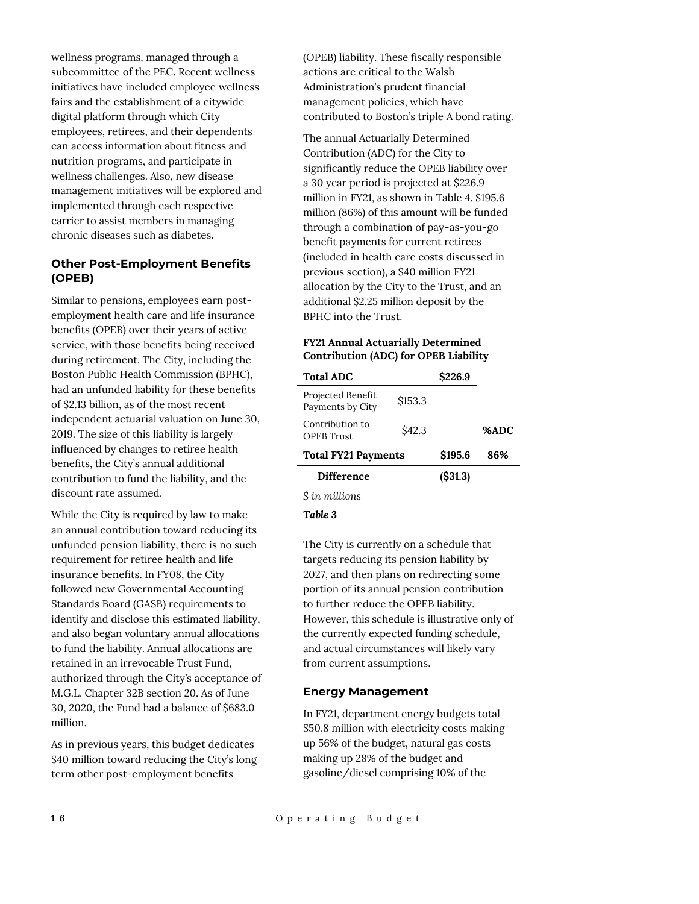wellness programs, managed through a subcommittee of the PEC. Recent wellness initiatives have included employee wellness fairs and the establishment of a citywide digital platform through which City employees, retirees, and their dependents can access information about fitness and nutrition programs, and participate in wellness challenges. Also, new disease management initiatives will be explored and implemented through each respective carrier to assist members in managing chronic diseases such as diabetes.

## **Other Post-Employment Benefits (OPEB)**

Similar to pensions, employees earn postemployment health care and life insurance benefits (OPEB) over their years of active service, with those benefits being received during retirement. The City, including the Boston Public Health Commission (BPHC), had an unfunded liability for these benefits of \$2.13 billion, as of the most recent independent actuarial valuation on June 30, 2019. The size of this liability is largely influenced by changes to retiree health benefits, the City's annual additional contribution to fund the liability, and the discount rate assumed.

While the City is required by law to make an annual contribution toward reducing its unfunded pension liability, there is no such requirement for retiree health and life insurance benefits. In FY08, the City followed new Governmental Accounting Standards Board (GASB) requirements to identify and disclose this estimated liability, and also began voluntary annual allocations to fund the liability. Annual allocations are retained in an irrevocable Trust Fund, authorized through the City's acceptance of M.G.L. Chapter 32B section 20. As of June 30, 2020, the Fund had a balance of \$683.0 million.

As in previous years, this budget dedicates \$40 million toward reducing the City's long term other post-employment benefits

(OPEB) liability. These fiscally responsible actions are critical to the Walsh Administration's prudent financial management policies, which have contributed to Boston's triple A bond rating.

The annual Actuarially Determined Contribution (ADC) for the City to significantly reduce the OPEB liability over a 30 year period is projected at \$226.9 million in FY21, as shown in Table 4. \$195.6 million (86%) of this amount will be funded through a combination of pay-as-you-go benefit payments for current retirees (included in health care costs discussed in previous section), a \$40 million FY21 allocation by the City to the Trust, and an additional \$2.25 million deposit by the BPHC into the Trust.

## **FY21 Annual Actuarially Determined Contribution (ADC) for OPEB Liability**

| <b>Total ADC</b>                      |         | \$226.9 |      |
|---------------------------------------|---------|---------|------|
| Projected Benefit<br>Payments by City | \$153.3 |         |      |
| Contribution to<br><b>OPER</b> Trust  | S42.3   |         | %ADC |
| <b>Total FY21 Payments</b>            |         | \$195.6 | 86%  |
| Difference                            |         | (S31.3) |      |
| S in millions                         |         |         |      |

*Table 3*

The City is currently on a schedule that targets reducing its pension liability by 2027, and then plans on redirecting some portion of its annual pension contribution to further reduce the OPEB liability. However, this schedule is illustrative only of the currently expected funding schedule, and actual circumstances will likely vary from current assumptions.

## **Energy Management**

In FY21, department energy budgets total \$50.8 million with electricity costs making up 56% of the budget, natural gas costs making up 28% of the budget and gasoline/diesel comprising 10% of the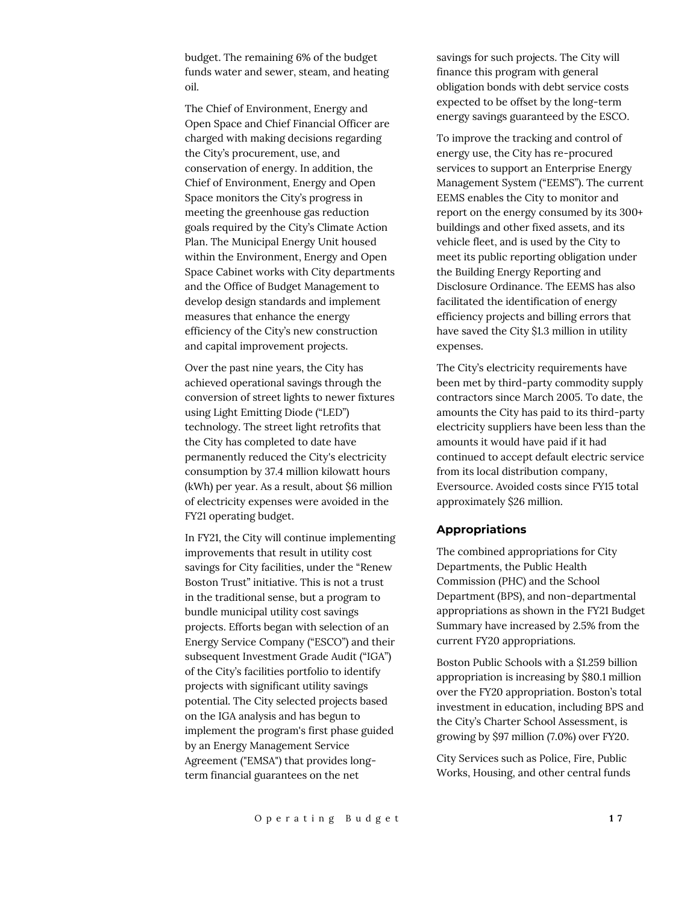budget. The remaining 6% of the budget funds water and sewer, steam, and heating oil.

The Chief of Environment, Energy and Open Space and Chief Financial Officer are charged with making decisions regarding the City's procurement, use, and conservation of energy. In addition, the Chief of Environment, Energy and Open Space monitors the City's progress in meeting the greenhouse gas reduction goals required by the City's Climate Action Plan. The Municipal Energy Unit housed within the Environment, Energy and Open Space Cabinet works with City departments and the Office of Budget Management to develop design standards and implement measures that enhance the energy efficiency of the City's new construction and capital improvement projects.

Over the past nine years, the City has achieved operational savings through the conversion of street lights to newer fixtures using Light Emitting Diode ("LED") technology. The street light retrofits that the City has completed to date have permanently reduced the City's electricity consumption by 37.4 million kilowatt hours (kWh) per year. As a result, about \$6 million of electricity expenses were avoided in the FY21 operating budget.

In FY21, the City will continue implementing improvements that result in utility cost savings for City facilities, under the "Renew Boston Trust" initiative. This is not a trust in the traditional sense, but a program to bundle municipal utility cost savings projects. Efforts began with selection of an Energy Service Company ("ESCO") and their subsequent Investment Grade Audit ("IGA") of the City's facilities portfolio to identify projects with significant utility savings potential. The City selected projects based on the IGA analysis and has begun to implement the program's first phase guided by an Energy Management Service Agreement ("EMSA") that provides longterm financial guarantees on the net

savings for such projects. The City will finance this program with general obligation bonds with debt service costs expected to be offset by the long-term energy savings guaranteed by the ESCO.

To improve the tracking and control of energy use, the City has re-procured services to support an Enterprise Energy Management System ("EEMS"). The current EEMS enables the City to monitor and report on the energy consumed by its 300+ buildings and other fixed assets, and its vehicle fleet, and is used by the City to meet its public reporting obligation under the Building Energy Reporting and Disclosure Ordinance. The EEMS has also facilitated the identification of energy efficiency projects and billing errors that have saved the City \$1.3 million in utility expenses.

The City's electricity requirements have been met by third-party commodity supply contractors since March 2005. To date, the amounts the City has paid to its third-party electricity suppliers have been less than the amounts it would have paid if it had continued to accept default electric service from its local distribution company, Eversource. Avoided costs since FY15 total approximately \$26 million.

#### **Appropriations**

The combined appropriations for City Departments, the Public Health Commission (PHC) and the School Department (BPS), and non-departmental appropriations as shown in the FY21 Budget Summary have increased by 2.5% from the current FY20 appropriations.

Boston Public Schools with a \$1.259 billion appropriation is increasing by \$80.1 million over the FY20 appropriation. Boston's total investment in education, including BPS and the City's Charter School Assessment, is growing by \$97 million (7.0%) over FY20.

City Services such as Police, Fire, Public Works, Housing, and other central funds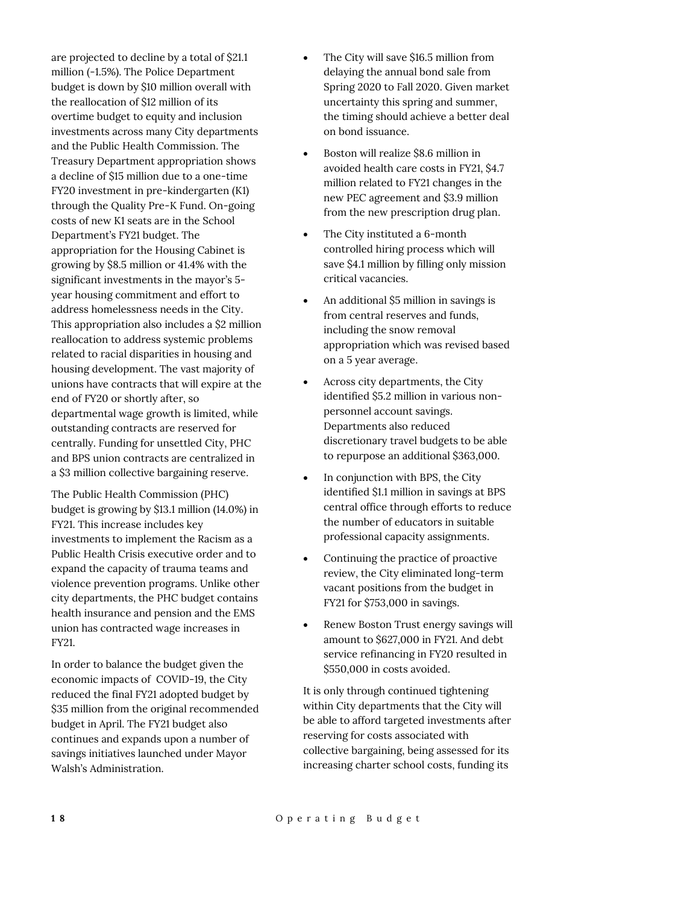are projected to decline by a total of \$21.1 million (-1.5%). The Police Department budget is down by \$10 million overall with the reallocation of \$12 million of its overtime budget to equity and inclusion investments across many City departments and the Public Health Commission. The Treasury Department appropriation shows a decline of \$15 million due to a one-time FY20 investment in pre-kindergarten (K1) through the Quality Pre-K Fund. On-going costs of new K1 seats are in the School Department's FY21 budget. The appropriation for the Housing Cabinet is growing by \$8.5 million or 41.4% with the significant investments in the mayor's 5 year housing commitment and effort to address homelessness needs in the City. This appropriation also includes a \$2 million reallocation to address systemic problems related to racial disparities in housing and housing development. The vast majority of unions have contracts that will expire at the end of FY20 or shortly after, so departmental wage growth is limited, while outstanding contracts are reserved for centrally. Funding for unsettled City, PHC and BPS union contracts are centralized in a \$3 million collective bargaining reserve.

The Public Health Commission (PHC) budget is growing by \$13.1 million (14.0%) in FY21. This increase includes key investments to implement the Racism as a Public Health Crisis executive order and to expand the capacity of trauma teams and violence prevention programs. Unlike other city departments, the PHC budget contains health insurance and pension and the EMS union has contracted wage increases in FY21.

In order to balance the budget given the economic impacts of COVID-19, the City reduced the final FY21 adopted budget by \$35 million from the original recommended budget in April. The FY21 budget also continues and expands upon a number of savings initiatives launched under Mayor Walsh's Administration.

- The City will save \$16.5 million from delaying the annual bond sale from Spring 2020 to Fall 2020. Given market uncertainty this spring and summer, the timing should achieve a better deal on bond issuance.
- Boston will realize \$8.6 million in avoided health care costs in FY21, \$4.7 million related to FY21 changes in the new PEC agreement and \$3.9 million from the new prescription drug plan.
- The City instituted a 6-month controlled hiring process which will save \$4.1 million by filling only mission critical vacancies.
- An additional \$5 million in savings is from central reserves and funds, including the snow removal appropriation which was revised based on a 5 year average.
- Across city departments, the City identified \$5.2 million in various nonpersonnel account savings. Departments also reduced discretionary travel budgets to be able to repurpose an additional \$363,000.
- In conjunction with BPS, the City identified \$1.1 million in savings at BPS central office through efforts to reduce the number of educators in suitable professional capacity assignments.
- Continuing the practice of proactive review, the City eliminated long-term vacant positions from the budget in FY21 for \$753,000 in savings.
- Renew Boston Trust energy savings will amount to \$627,000 in FY21. And debt service refinancing in FY20 resulted in \$550,000 in costs avoided.

It is only through continued tightening within City departments that the City will be able to afford targeted investments after reserving for costs associated with collective bargaining, being assessed for its increasing charter school costs, funding its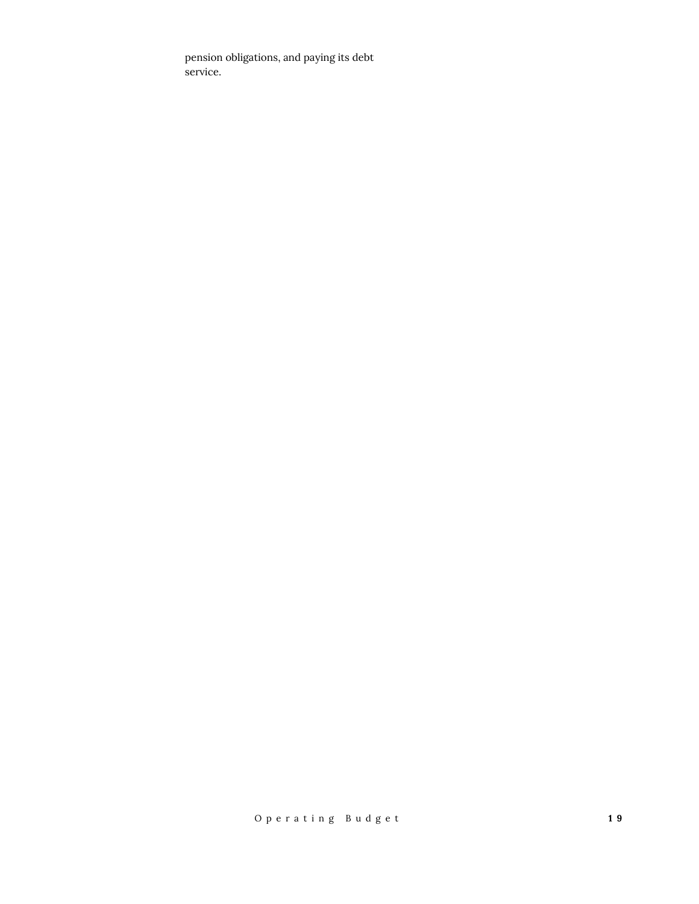pension obligations, and paying its debt service.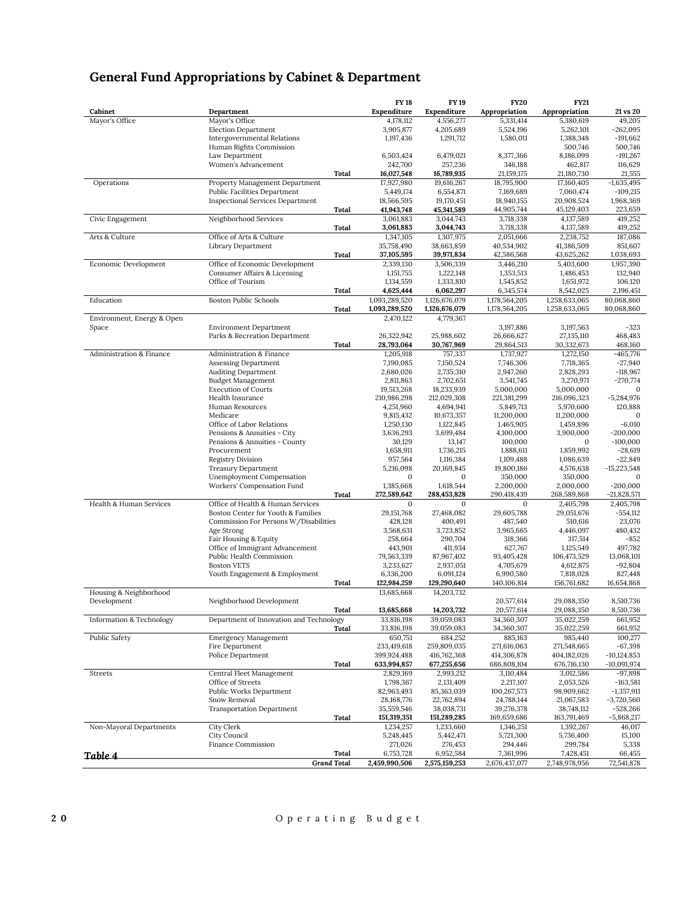|                                       |                                                                  | <b>FY 18</b>              | <b>FY19</b>                | <b>FY20</b>              | <b>FY21</b>              |                               |
|---------------------------------------|------------------------------------------------------------------|---------------------------|----------------------------|--------------------------|--------------------------|-------------------------------|
| Cabinet                               | Department                                                       | Expenditure               | Expenditure                | Appropriation            | Appropriation            | 21 vs 20                      |
| Mayor's Office                        | Mayor's Office                                                   | 4,178,112                 | 4,556,277                  | 5,331,414                | 5,380,619                | 49,205                        |
|                                       | <b>Election Department</b><br><b>Intergovernmental Relations</b> | 3,905,877<br>1,197,436    | 4,205,689<br>1,291,712     | 5,524,196<br>1,580,011   | 5,262,101<br>1,388,348   | $-262,095$<br>$-191,662$      |
|                                       | Human Rights Commission                                          |                           |                            |                          | 500,746                  | 500,746                       |
|                                       | Law Department                                                   | 6,503,424                 | 6,479,021                  | 8,377,366                | 8,186,099                | $-191,267$                    |
|                                       | Women's Advancement                                              | 242,700                   | 257,236                    | 346,188                  | 462,817                  | 116,629                       |
|                                       | Total                                                            | 16,027,548                | 16,789,935                 | 21,159,175               | 21,180,730               | 21,555                        |
| Operations                            | Property Management Department                                   | 17,927,980                | 19,616,267                 | 18,795,900               | 17,160,405               | $-1,635,495$                  |
|                                       | <b>Public Facilities Department</b>                              | 5,449,174                 | 6,554,871                  | 7,169,689                | 7,060,474                | $-109,215$                    |
|                                       | <b>Inspectional Services Department</b><br>Total                 | 18,566,595<br>41,943,748  | 19,170,451<br>45,341,589   | 18,940,155<br>44,905,744 | 20,908,524<br>45,129,403 | 1,968,369<br>223,659          |
| Civic Engagement                      | Neighborhood Services                                            | 3,061,883                 | 3,044,743                  | 3,718,338                | 4,137,589                | 419,252                       |
|                                       | Total                                                            | 3,061,883                 | 3,044,743                  | 3,718,338                | 4,137,589                | 419,252                       |
| Arts & Culture                        | Office of Arts & Culture                                         | 1,347,105                 | 1,307,975                  | 2,051,666                | 2,238,752                | 187,086                       |
|                                       | Library Department                                               | 35,758,490                | 38,663,859                 | 40,534,902               | 41,386,509               | 851,607                       |
|                                       | Total                                                            | 37,105,595                | 39,971,834                 | 42,586,568               | 43,625,262               | 1,038,693                     |
| Economic Development                  | Office of Economic Development                                   | 2,339,130                 | 3,506,339                  | 3,446,210                | 5,403,600                | 1,957,390                     |
|                                       | Consumer Affairs & Licensing<br>Office of Tourism                | 1,151,755<br>1,134,559    | 1,222,148<br>1,333,810     | 1,353,513<br>1,545,852   | 1,486,453<br>1,651,972   | 132,940<br>106,120            |
|                                       | Total                                                            | 4,625,444                 | 6,062,297                  | 6,345,574                | 8,542,025                | 2,196,451                     |
| Education                             | <b>Boston Public Schools</b>                                     | 1,093,289,520             | 1,126,676,079              | 1,178,564,205            | 1,258,633,065            | 80,068,860                    |
|                                       | Total                                                            | 1,093,289,520             | 1,126,676,079              | 1,178,564,205            | 1,258,633,065            | 80,068,860                    |
| Environment, Energy & Open            |                                                                  | 2,470,122                 | 4,779,367                  |                          |                          |                               |
| Space                                 | <b>Environment Department</b>                                    |                           |                            | 3,197,886                | 3,197,563                | $-323$                        |
|                                       | Parks & Recreation Department                                    | 26,322,942                | 25,988,602                 | 26,666,627               | 27,135,110               | 468,483                       |
| Administration & Finance              | Total<br>Administration & Finance                                | 28,793,064<br>1,205,918   | 30,767,969<br>757,337      | 29,864,513<br>1,737,927  | 30,332,673<br>1,272,150  | 468,160<br>$-465,776$         |
|                                       | <b>Assessing Department</b>                                      | 7,190,085                 | 7,150,524                  | 7,746,306                | 7,718,365                | $-27,940$                     |
|                                       | <b>Auditing Department</b>                                       | 2,680,026                 | 2,735,310                  | 2,947,260                | 2,828,293                | $-118,967$                    |
|                                       | <b>Budget Management</b>                                         | 2,811,863                 | 2,702,651                  | 3,541,745                | 3,270,971                | $-270,774$                    |
|                                       | <b>Execution of Courts</b>                                       | 19,513,268                | 18,233,939                 | 5,000,000                | 5,000,000                | $\mathbf{0}$                  |
|                                       | Health Insurance                                                 | 210,986,298               | 212,029,308                | 221,381,299              | 216,096,323              | $-5,284,976$                  |
|                                       | Human Resources<br>Medicare                                      | 4,251,960<br>9,815,432    | 4,694,941<br>10,673,357    | 5,849,713<br>11,200,000  | 5,970,600<br>11,200,000  | 120,888<br>$\mathbf{0}$       |
|                                       | Office of Labor Relations                                        | 1,250,130                 | 1,122,845                  | 1,465,905                | 1,459,896                | $-6,010$                      |
|                                       | Pensions & Annuities - City                                      | 3,636,293                 | 3,699,484                  | 4,100,000                | 3,900,000                | $-200,000$                    |
|                                       | Pensions & Annuities - County                                    | 30,129                    | 13,147                     | 100,000                  | $\mathbf{0}$             | $-100,000$                    |
|                                       | Procurement                                                      | 1,658,911                 | 1,736,215                  | 1,888,611                | 1,859,992                | $-28,619$                     |
|                                       | <b>Registry Division</b>                                         | 957,564                   | 1,116,384                  | 1,109,488                | 1,086,639                | $-22,849$                     |
|                                       | <b>Treasury Department</b>                                       | 5,216,098<br>$\mathbf{0}$ | 20,169,845<br>$\mathbf{0}$ | 19,800,186               | 4,576,638                | $-15,223,548$<br>$\mathbf{0}$ |
|                                       | Unemployment Compensation<br>Workers' Compensation Fund          | 1,385,668                 | 1,618,544                  | 350,000<br>2,200,000     | 350,000<br>2,000,000     | $-200,000$                    |
|                                       | Total                                                            | 272,589,642               | 288,453,828                | 290,418,439              | 268,589,868              | $-21,828,571$                 |
| Health & Human Services               | Office of Health & Human Services                                | $\mathbf{0}$              | $\mathbf{0}$               | $\mathbf{0}$             | 2,405,798                | 2,405,798                     |
|                                       | Boston Center for Youth & Families                               | 29, 151, 768              | 27,468,082                 | 29,605,788               | 29,051,676               | $-554,112$                    |
|                                       | Commission For Persons W/Disabilities                            | 428,128                   | 400,491                    | 487,540                  | 510,616                  | 23,076                        |
|                                       | Age Strong<br>Fair Housing & Equity                              | 3,568,631<br>258,664      | 3,723,852<br>290,704       | 3,965,665<br>318,366     | 4,446,097<br>317,514     | 480,432<br>$-852$             |
|                                       | Office of Immigrant Advancement                                  | 443,901                   | 411,934                    | 627,767                  | 1,125,549                | 497,782                       |
|                                       | Public Health Commission                                         | 79,563,339                | 87,967,402                 | 93,405,428               | 106,473,529              | 13,068,101                    |
|                                       | <b>Boston VETS</b>                                               | 3,233,627                 | 2,937,051                  | 4,705,679                | 4,612,875                | $-92,804$                     |
|                                       | Youth Engagement & Employment                                    | 6,336,200                 | 6,091,124                  | 6,990,580                | 7,818,028                | 827,448                       |
|                                       | Total                                                            | 122,984,259               | 129,290,640                | 140,106,814              | 156,761,682              | 16,654,868                    |
| Housing & Neighborhood<br>Development | Neighborhood Development                                         | 13,685,668                | 14,203,732                 | 20,577,614               | 29,088,350               | 8,510,736                     |
|                                       | Total                                                            | 13,685,668                | 14,203,732                 | 20,577,614               | 29,088,350               | 8,510,736                     |
| Information & Technology              | Department of Innovation and Technology                          | 33,816,198                | 39,059,083                 | 34,360,307               | 35,022,259               | 661,952                       |
|                                       | Total                                                            | 33,816,198                | 39,059,083                 | 34,360,307               | 35,022,259               | 661,952                       |
| Public Safety                         | <b>Emergency Management</b>                                      | 650,751                   | 684,252                    | 885,163                  | 985,440                  | 100,277                       |
|                                       | Fire Department                                                  | 233,419,618               | 259,809,035                | 271,616,063              | 271,548,665              | $-67,398$                     |
|                                       | Police Department                                                | 399,924,488               | 416,762,368                | 414,306,878              | 404,182,026              | $-10,124,853$                 |
| <b>Streets</b>                        | Total<br>Central Fleet Management                                | 633,994,857<br>2,829,169  | 677,255,656<br>2,993,212   | 686,808,104<br>3,110,484 | 676,716,130<br>3,012,586 | $-10,091,974$<br>$-97,898$    |
|                                       | Office of Streets                                                | 1,798,367                 | 2,131,409                  | 2,217,107                | 2,053,526                | $-163,581$                    |
|                                       | Public Works Department                                          | 82,963,493                | 85,363,039                 | 100,267,573              | 98,909,662               | $-1,357,911$                  |
|                                       | Snow Removal                                                     | 28, 168, 776              | 22,762,894                 | 24,788,144               | 21,067,583               | $-3,720,560$                  |
|                                       | <b>Transportation Department</b>                                 | 35,559,546                | 38,038,731                 | 39,276,378               | 38,748,112               | $-528,266$                    |
|                                       | Total                                                            | 151,319,351               | 151,289,285                | 169,659,686              | 163,791,469              | $-5,868,217$                  |
| Non-Mayoral Departments               | City Clerk<br>City Council                                       | 1,234,257<br>5,248,445    | 1,233,660<br>5,442,471     | 1,346,251<br>5,721,300   | 1,392,267<br>5,736,400   | 46,017<br>15,100              |
|                                       | Finance Commission                                               | 271,026                   | 276,453                    | 294,446                  | 299,784                  | 5,338                         |
| <u>Table 4</u>                        | Total                                                            | 6,753,728                 | 6,952,584                  | 7,361,996                | 7,428,451                | 66,455                        |
|                                       | <b>Grand Total</b>                                               | 2,459,990,506             | 2,575,159,253              | 2,676,437,077            | 2,748,978,956            | 72,541,878                    |

# **General Fund Appropriations by Cabinet & Department**

## **2 0** O p e r a t i n g B u d g e t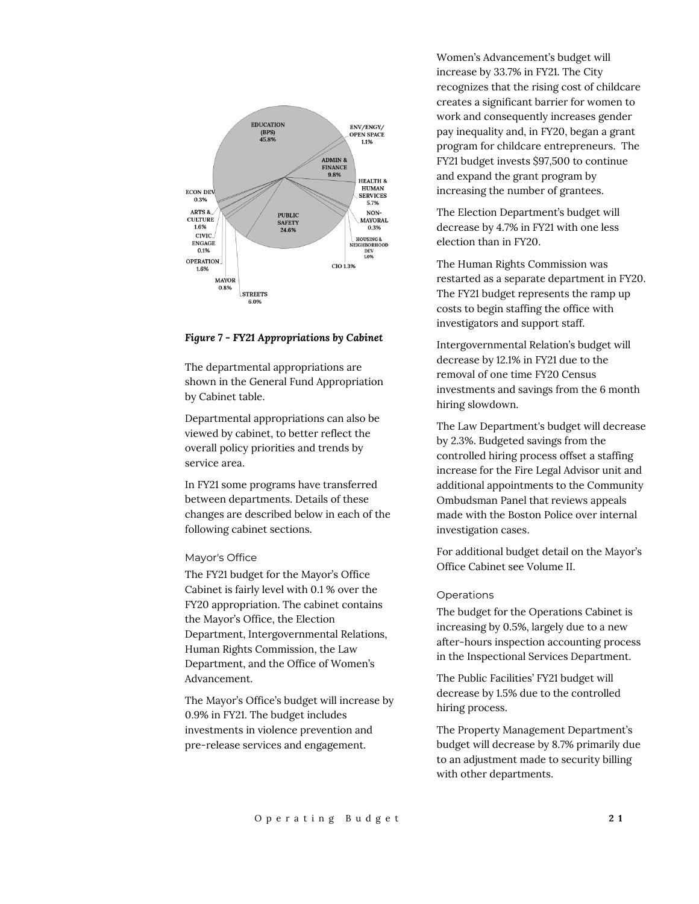

#### *Figure 7 - FY21 Appropriations by Cabinet*

The departmental appropriations are shown in the General Fund Appropriation by Cabinet table.

Departmental appropriations can also be viewed by cabinet, to better reflect the overall policy priorities and trends by service area.

In FY21 some programs have transferred between departments. Details of these changes are described below in each of the following cabinet sections.

#### Mayor's Office

The FY21 budget for the Mayor's Office Cabinet is fairly level with 0.1 % over the FY20 appropriation. The cabinet contains the Mayor's Office, the Election Department, Intergovernmental Relations, Human Rights Commission, the Law Department, and the Office of Women's Advancement.

The Mayor's Office's budget will increase by 0.9% in FY21. The budget includes investments in violence prevention and pre-release services and engagement.

Women's Advancement's budget will increase by 33.7% in FY21. The City recognizes that the rising cost of childcare creates a significant barrier for women to work and consequently increases gender pay inequality and, in FY20, began a grant program for childcare entrepreneurs. The FY21 budget invests \$97,500 to continue and expand the grant program by increasing the number of grantees.

The Election Department's budget will decrease by 4.7% in FY21 with one less election than in FY20.

The Human Rights Commission was restarted as a separate department in FY20. The FY21 budget represents the ramp up costs to begin staffing the office with investigators and support staff.

Intergovernmental Relation's budget will decrease by 12.1% in FY21 due to the removal of one time FY20 Census investments and savings from the 6 month hiring slowdown.

The Law Department's budget will decrease by 2.3%. Budgeted savings from the controlled hiring process offset a staffing increase for the Fire Legal Advisor unit and additional appointments to the Community Ombudsman Panel that reviews appeals made with the Boston Police over internal investigation cases.

For additional budget detail on the Mayor's Office Cabinet see Volume II.

#### Operations

The budget for the Operations Cabinet is increasing by 0.5%, largely due to a new after-hours inspection accounting process in the Inspectional Services Department.

The Public Facilities' FY21 budget will decrease by 1.5% due to the controlled hiring process.

The Property Management Department's budget will decrease by 8.7% primarily due to an adjustment made to security billing with other departments.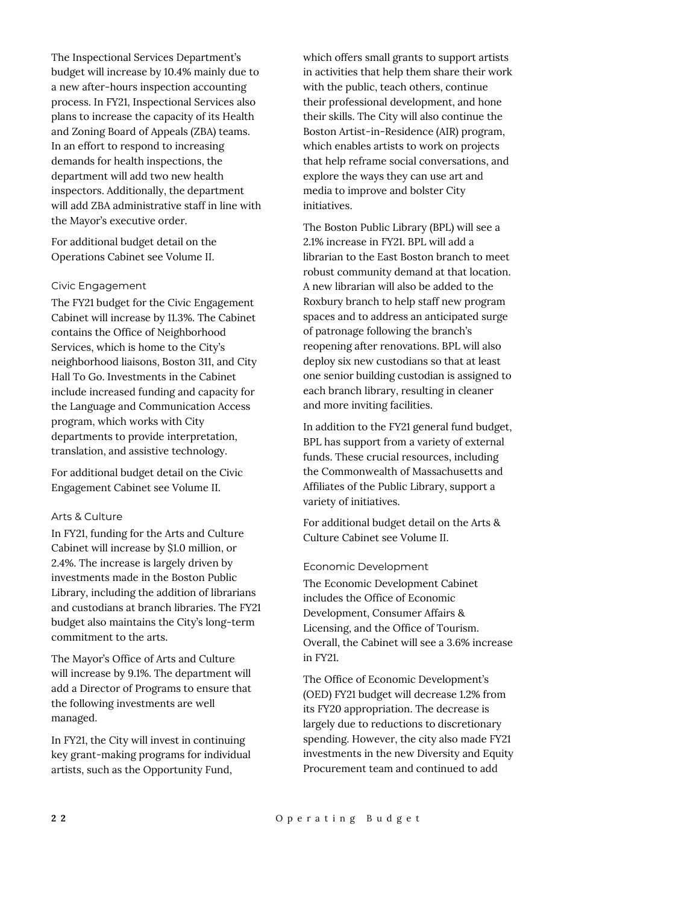The Inspectional Services Department's budget will increase by 10.4% mainly due to a new after-hours inspection accounting process. In FY21, Inspectional Services also plans to increase the capacity of its Health and Zoning Board of Appeals (ZBA) teams. In an effort to respond to increasing demands for health inspections, the department will add two new health inspectors. Additionally, the department will add ZBA administrative staff in line with the Mayor's executive order.

For additional budget detail on the Operations Cabinet see Volume II.

#### Civic Engagement

The FY21 budget for the Civic Engagement Cabinet will increase by 11.3%. The Cabinet contains the Office of Neighborhood Services, which is home to the City's neighborhood liaisons, Boston 311, and City Hall To Go. Investments in the Cabinet include increased funding and capacity for the Language and Communication Access program, which works with City departments to provide interpretation, translation, and assistive technology.

For additional budget detail on the Civic Engagement Cabinet see Volume II.

#### Arts & Culture

In FY21, funding for the Arts and Culture Cabinet will increase by \$1.0 million, or 2.4%. The increase is largely driven by investments made in the Boston Public Library, including the addition of librarians and custodians at branch libraries. The FY21 budget also maintains the City's long-term commitment to the arts.

The Mayor's Office of Arts and Culture will increase by 9.1%. The department will add a Director of Programs to ensure that the following investments are well managed.

In FY21, the City will invest in continuing key grant-making programs for individual artists, such as the Opportunity Fund,

which offers small grants to support artists in activities that help them share their work with the public, teach others, continue their professional development, and hone their skills. The City will also continue the Boston Artist-in-Residence (AIR) program, which enables artists to work on projects that help reframe social conversations, and explore the ways they can use art and media to improve and bolster City initiatives.

The Boston Public Library (BPL) will see a 2.1% increase in FY21. BPL will add a librarian to the East Boston branch to meet robust community demand at that location. A new librarian will also be added to the Roxbury branch to help staff new program spaces and to address an anticipated surge of patronage following the branch's reopening after renovations. BPL will also deploy six new custodians so that at least one senior building custodian is assigned to each branch library, resulting in cleaner and more inviting facilities.

In addition to the FY21 general fund budget, BPL has support from a variety of external funds. These crucial resources, including the Commonwealth of Massachusetts and Affiliates of the Public Library, support a variety of initiatives.

For additional budget detail on the Arts & Culture Cabinet see Volume II.

#### Economic Development

The Economic Development Cabinet includes the Office of Economic Development, Consumer Affairs & Licensing, and the Office of Tourism. Overall, the Cabinet will see a 3.6% increase in FY21.

The Office of Economic Development's (OED) FY21 budget will decrease 1.2% from its FY20 appropriation. The decrease is largely due to reductions to discretionary spending. However, the city also made FY21 investments in the new Diversity and Equity Procurement team and continued to add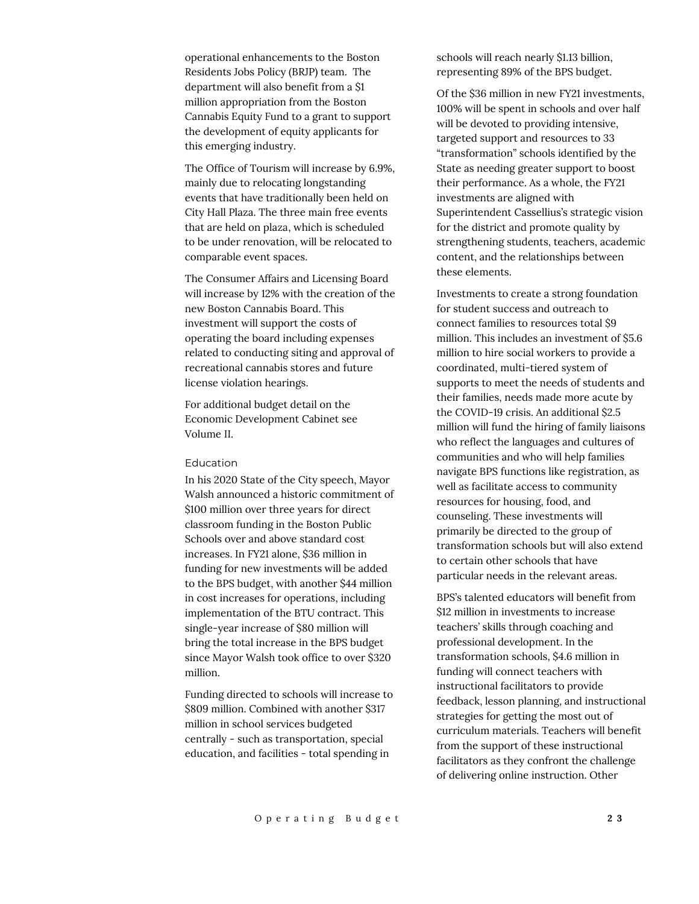operational enhancements to the Boston Residents Jobs Policy (BRJP) team. The department will also benefit from a \$1 million appropriation from the Boston Cannabis Equity Fund to a grant to support the development of equity applicants for this emerging industry.

The Office of Tourism will increase by 6.9%, mainly due to relocating longstanding events that have traditionally been held on City Hall Plaza. The three main free events that are held on plaza, which is scheduled to be under renovation, will be relocated to comparable event spaces.

The Consumer Affairs and Licensing Board will increase by 12% with the creation of the new Boston Cannabis Board. This investment will support the costs of operating the board including expenses related to conducting siting and approval of recreational cannabis stores and future license violation hearings.

For additional budget detail on the Economic Development Cabinet see Volume II.

#### Education

In his 2020 State of the City speech, Mayor Walsh announced a historic commitment of \$100 million over three years for direct classroom funding in the Boston Public Schools over and above standard cost increases. In FY21 alone, \$36 million in funding for new investments will be added to the BPS budget, with another \$44 million in cost increases for operations, including implementation of the BTU contract. This single-year increase of \$80 million will bring the total increase in the BPS budget since Mayor Walsh took office to over \$320 million.

Funding directed to schools will increase to \$809 million. Combined with another \$317 million in school services budgeted centrally - such as transportation, special education, and facilities - total spending in

schools will reach nearly \$1.13 billion, representing 89% of the BPS budget.

Of the \$36 million in new FY21 investments, 100% will be spent in schools and over half will be devoted to providing intensive, targeted support and resources to 33 "transformation" schools identified by the State as needing greater support to boost their performance. As a whole, the FY21 investments are aligned with Superintendent Cassellius's strategic vision for the district and promote quality by strengthening students, teachers, academic content, and the relationships between these elements.

Investments to create a strong foundation for student success and outreach to connect families to resources total \$9 million. This includes an investment of \$5.6 million to hire social workers to provide a coordinated, multi-tiered system of supports to meet the needs of students and their families, needs made more acute by the COVID-19 crisis. An additional \$2.5 million will fund the hiring of family liaisons who reflect the languages and cultures of communities and who will help families navigate BPS functions like registration, as well as facilitate access to community resources for housing, food, and counseling. These investments will primarily be directed to the group of transformation schools but will also extend to certain other schools that have particular needs in the relevant areas.

BPS's talented educators will benefit from \$12 million in investments to increase teachers' skills through coaching and professional development. In the transformation schools, \$4.6 million in funding will connect teachers with instructional facilitators to provide feedback, lesson planning, and instructional strategies for getting the most out of curriculum materials. Teachers will benefit from the support of these instructional facilitators as they confront the challenge of delivering online instruction. Other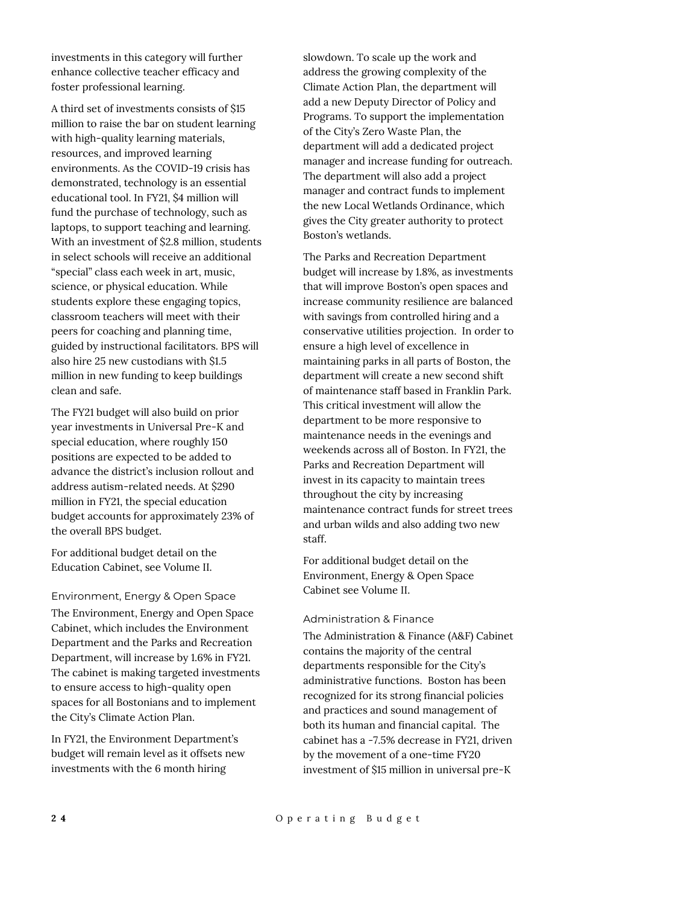investments in this category will further enhance collective teacher efficacy and foster professional learning.

A third set of investments consists of \$15 million to raise the bar on student learning with high-quality learning materials, resources, and improved learning environments. As the COVID-19 crisis has demonstrated, technology is an essential educational tool. In FY21, \$4 million will fund the purchase of technology, such as laptops, to support teaching and learning. With an investment of \$2.8 million, students in select schools will receive an additional "special" class each week in art, music, science, or physical education. While students explore these engaging topics, classroom teachers will meet with their peers for coaching and planning time, guided by instructional facilitators. BPS will also hire 25 new custodians with \$1.5 million in new funding to keep buildings clean and safe.

The FY21 budget will also build on prior year investments in Universal Pre-K and special education, where roughly 150 positions are expected to be added to advance the district's inclusion rollout and address autism-related needs. At \$290 million in FY21, the special education budget accounts for approximately 23% of the overall BPS budget.

For additional budget detail on the Education Cabinet, see Volume II.

## Environment, Energy & Open Space The Environment, Energy and Open Space Cabinet, which includes the Environment Department and the Parks and Recreation

Department, will increase by 1.6% in FY21. The cabinet is making targeted investments to ensure access to high-quality open spaces for all Bostonians and to implement the City's Climate Action Plan.

In FY21, the Environment Department's budget will remain level as it offsets new investments with the 6 month hiring

slowdown. To scale up the work and address the growing complexity of the Climate Action Plan, the department will add a new Deputy Director of Policy and Programs. To support the implementation of the City's Zero Waste Plan, the department will add a dedicated project manager and increase funding for outreach. The department will also add a project manager and contract funds to implement the new Local Wetlands Ordinance, which gives the City greater authority to protect Boston's wetlands.

The Parks and Recreation Department budget will increase by 1.8%, as investments that will improve Boston's open spaces and increase community resilience are balanced with savings from controlled hiring and a conservative utilities projection. In order to ensure a high level of excellence in maintaining parks in all parts of Boston, the department will create a new second shift of maintenance staff based in Franklin Park. This critical investment will allow the department to be more responsive to maintenance needs in the evenings and weekends across all of Boston. In FY21, the Parks and Recreation Department will invest in its capacity to maintain trees throughout the city by increasing maintenance contract funds for street trees and urban wilds and also adding two new staff.

For additional budget detail on the Environment, Energy & Open Space Cabinet see Volume II.

## Administration & Finance

The Administration & Finance (A&F) Cabinet contains the majority of the central departments responsible for the City's administrative functions. Boston has been recognized for its strong financial policies and practices and sound management of both its human and financial capital. The cabinet has a -7.5% decrease in FY21, driven by the movement of a one-time FY20 investment of \$15 million in universal pre-K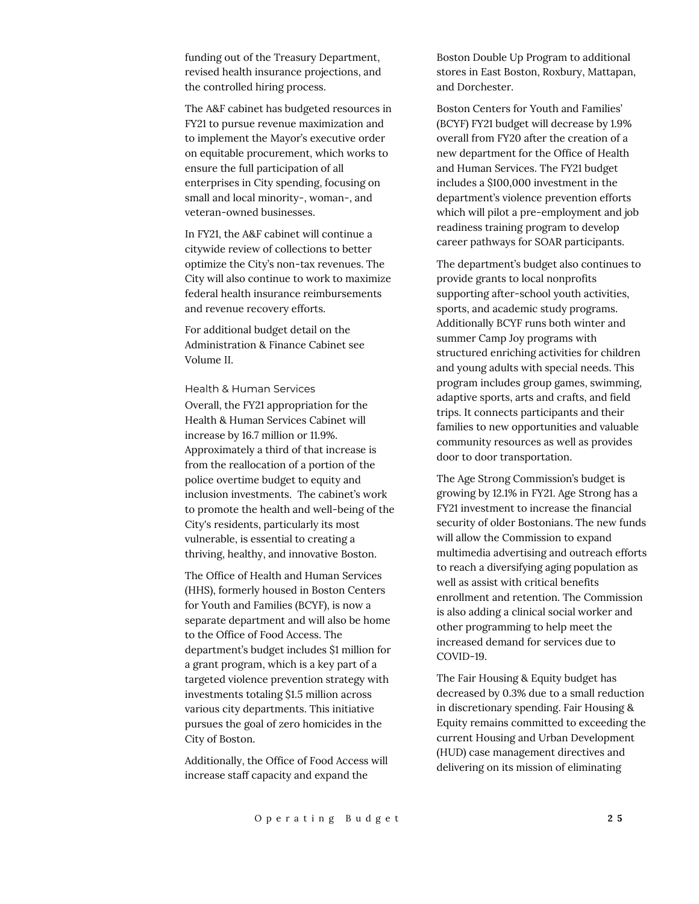funding out of the Treasury Department, revised health insurance projections, and the controlled hiring process.

The A&F cabinet has budgeted resources in FY21 to pursue revenue maximization and to implement the Mayor's executive order on equitable procurement, which works to ensure the full participation of all enterprises in City spending, focusing on small and local minority-, woman-, and veteran-owned businesses.

In FY21, the A&F cabinet will continue a citywide review of collections to better optimize the City's non-tax revenues. The City will also continue to work to maximize federal health insurance reimbursements and revenue recovery efforts.

For additional budget detail on the Administration & Finance Cabinet see Volume II.

#### Health & Human Services

Overall, the FY21 appropriation for the Health & Human Services Cabinet will increase by 16.7 million or 11.9%. Approximately a third of that increase is from the reallocation of a portion of the police overtime budget to equity and inclusion investments. The cabinet's work to promote the health and well-being of the City's residents, particularly its most vulnerable, is essential to creating a thriving, healthy, and innovative Boston.

The Office of Health and Human Services (HHS), formerly housed in Boston Centers for Youth and Families (BCYF), is now a separate department and will also be home to the Office of Food Access. The department's budget includes \$1 million for a grant program, which is a key part of a targeted violence prevention strategy with investments totaling \$1.5 million across various city departments. This initiative pursues the goal of zero homicides in the City of Boston.

Additionally, the Office of Food Access will increase staff capacity and expand the

Boston Double Up Program to additional stores in East Boston, Roxbury, Mattapan, and Dorchester.

Boston Centers for Youth and Families' (BCYF) FY21 budget will decrease by 1.9% overall from FY20 after the creation of a new department for the Office of Health and Human Services. The FY21 budget includes a \$100,000 investment in the department's violence prevention efforts which will pilot a pre-employment and job readiness training program to develop career pathways for SOAR participants.

The department's budget also continues to provide grants to local nonprofits supporting after-school youth activities, sports, and academic study programs. Additionally BCYF runs both winter and summer Camp Joy programs with structured enriching activities for children and young adults with special needs. This program includes group games, swimming, adaptive sports, arts and crafts, and field trips. It connects participants and their families to new opportunities and valuable community resources as well as provides door to door transportation.

The Age Strong Commission's budget is growing by 12.1% in FY21. Age Strong has a FY21 investment to increase the financial security of older Bostonians. The new funds will allow the Commission to expand multimedia advertising and outreach efforts to reach a diversifying aging population as well as assist with critical benefits enrollment and retention. The Commission is also adding a clinical social worker and other programming to help meet the increased demand for services due to COVID-19.

The Fair Housing & Equity budget has decreased by 0.3% due to a small reduction in discretionary spending. Fair Housing & Equity remains committed to exceeding the current Housing and Urban Development (HUD) case management directives and delivering on its mission of eliminating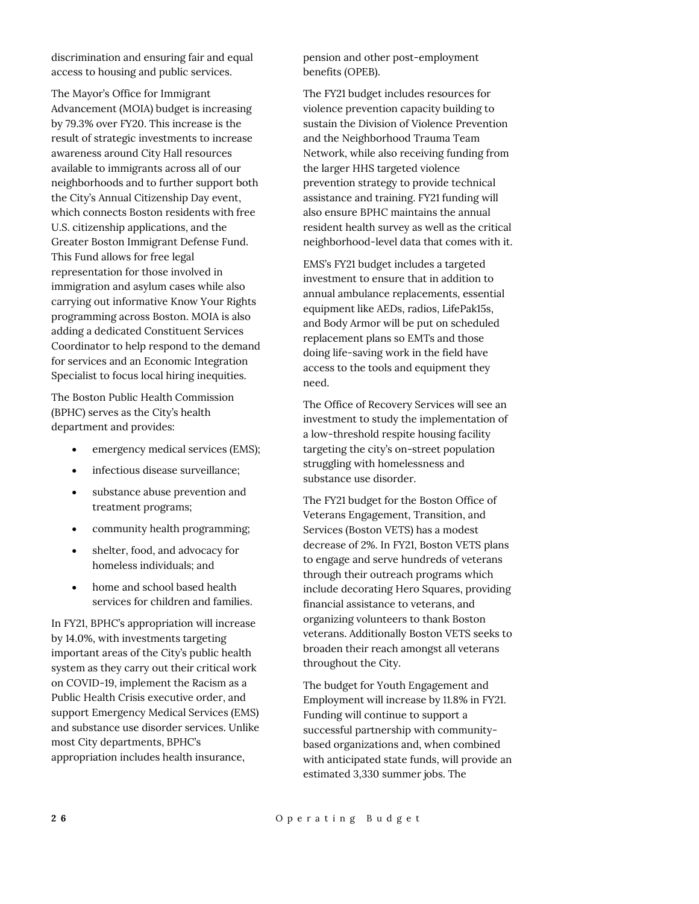discrimination and ensuring fair and equal access to housing and public services.

The Mayor's Office for Immigrant Advancement (MOIA) budget is increasing by 79.3% over FY20. This increase is the result of strategic investments to increase awareness around City Hall resources available to immigrants across all of our neighborhoods and to further support both the City's Annual Citizenship Day event, which connects Boston residents with free U.S. citizenship applications, and the Greater Boston Immigrant Defense Fund. This Fund allows for free legal representation for those involved in immigration and asylum cases while also carrying out informative Know Your Rights programming across Boston. MOIA is also adding a dedicated Constituent Services Coordinator to help respond to the demand for services and an Economic Integration Specialist to focus local hiring inequities.

The Boston Public Health Commission (BPHC) serves as the City's health department and provides:

- emergency medical services (EMS);
- infectious disease surveillance;
- substance abuse prevention and treatment programs;
- community health programming;
- shelter, food, and advocacy for homeless individuals; and
- home and school based health services for children and families.

In FY21, BPHC's appropriation will increase by 14.0%, with investments targeting important areas of the City's public health system as they carry out their critical work on COVID-19, implement the Racism as a Public Health Crisis executive order, and support Emergency Medical Services (EMS) and substance use disorder services. Unlike most City departments, BPHC's appropriation includes health insurance,

pension and other post-employment benefits (OPEB).

The FY21 budget includes resources for violence prevention capacity building to sustain the Division of Violence Prevention and the Neighborhood Trauma Team Network, while also receiving funding from the larger HHS targeted violence prevention strategy to provide technical assistance and training. FY21 funding will also ensure BPHC maintains the annual resident health survey as well as the critical neighborhood-level data that comes with it.

EMS's FY21 budget includes a targeted investment to ensure that in addition to annual ambulance replacements, essential equipment like AEDs, radios, LifePak15s, and Body Armor will be put on scheduled replacement plans so EMTs and those doing life-saving work in the field have access to the tools and equipment they need.

The Office of Recovery Services will see an investment to study the implementation of a low-threshold respite housing facility targeting the city's on-street population struggling with homelessness and substance use disorder.

The FY21 budget for the Boston Office of Veterans Engagement, Transition, and Services (Boston VETS) has a modest decrease of 2%. In FY21, Boston VETS plans to engage and serve hundreds of veterans through their outreach programs which include decorating Hero Squares, providing financial assistance to veterans, and organizing volunteers to thank Boston veterans. Additionally Boston VETS seeks to broaden their reach amongst all veterans throughout the City.

The budget for Youth Engagement and Employment will increase by 11.8% in FY21. Funding will continue to support a successful partnership with communitybased organizations and, when combined with anticipated state funds, will provide an estimated 3,330 summer jobs. The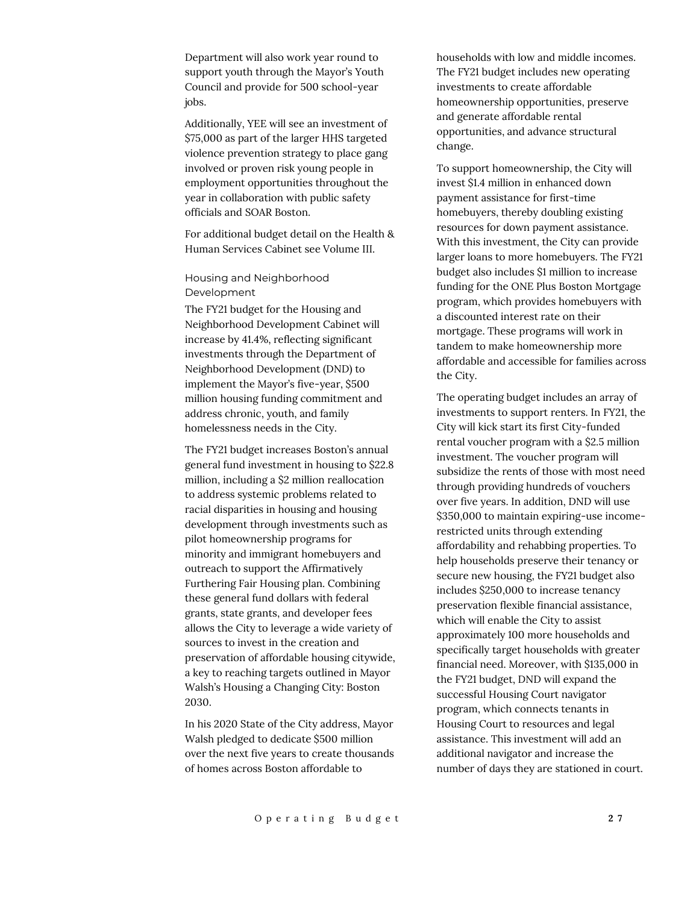Department will also work year round to support youth through the Mayor's Youth Council and provide for 500 school-year jobs.

Additionally, YEE will see an investment of \$75,000 as part of the larger HHS targeted violence prevention strategy to place gang involved or proven risk young people in employment opportunities throughout the year in collaboration with public safety officials and SOAR Boston.

For additional budget detail on the Health & Human Services Cabinet see Volume III.

## Housing and Neighborhood Development

The FY21 budget for the Housing and Neighborhood Development Cabinet will increase by 41.4%, reflecting significant investments through the Department of Neighborhood Development (DND) to implement the Mayor's five-year, \$500 million housing funding commitment and address chronic, youth, and family homelessness needs in the City.

The FY21 budget increases Boston's annual general fund investment in housing to \$22.8 million, including a \$2 million reallocation to address systemic problems related to racial disparities in housing and housing development through investments such as pilot homeownership programs for minority and immigrant homebuyers and outreach to support the Affirmatively Furthering Fair Housing plan. Combining these general fund dollars with federal grants, state grants, and developer fees allows the City to leverage a wide variety of sources to invest in the creation and preservation of affordable housing citywide, a key to reaching targets outlined in Mayor Walsh's Housing a Changing City: Boston 2030.

In his 2020 State of the City address, Mayor Walsh pledged to dedicate \$500 million over the next five years to create thousands of homes across Boston affordable to

households with low and middle incomes. The FY21 budget includes new operating investments to create affordable homeownership opportunities, preserve and generate affordable rental opportunities, and advance structural change.

To support homeownership, the City will invest \$1.4 million in enhanced down payment assistance for first-time homebuyers, thereby doubling existing resources for down payment assistance. With this investment, the City can provide larger loans to more homebuyers. The FY21 budget also includes \$1 million to increase funding for the ONE Plus Boston Mortgage program, which provides homebuyers with a discounted interest rate on their mortgage. These programs will work in tandem to make homeownership more affordable and accessible for families across the City.

The operating budget includes an array of investments to support renters. In FY21, the City will kick start its first City-funded rental voucher program with a \$2.5 million investment. The voucher program will subsidize the rents of those with most need through providing hundreds of vouchers over five years. In addition, DND will use \$350,000 to maintain expiring-use incomerestricted units through extending affordability and rehabbing properties. To help households preserve their tenancy or secure new housing, the FY21 budget also includes \$250,000 to increase tenancy preservation flexible financial assistance, which will enable the City to assist approximately 100 more households and specifically target households with greater financial need. Moreover, with \$135,000 in the FY21 budget, DND will expand the successful Housing Court navigator program, which connects tenants in Housing Court to resources and legal assistance. This investment will add an additional navigator and increase the number of days they are stationed in court.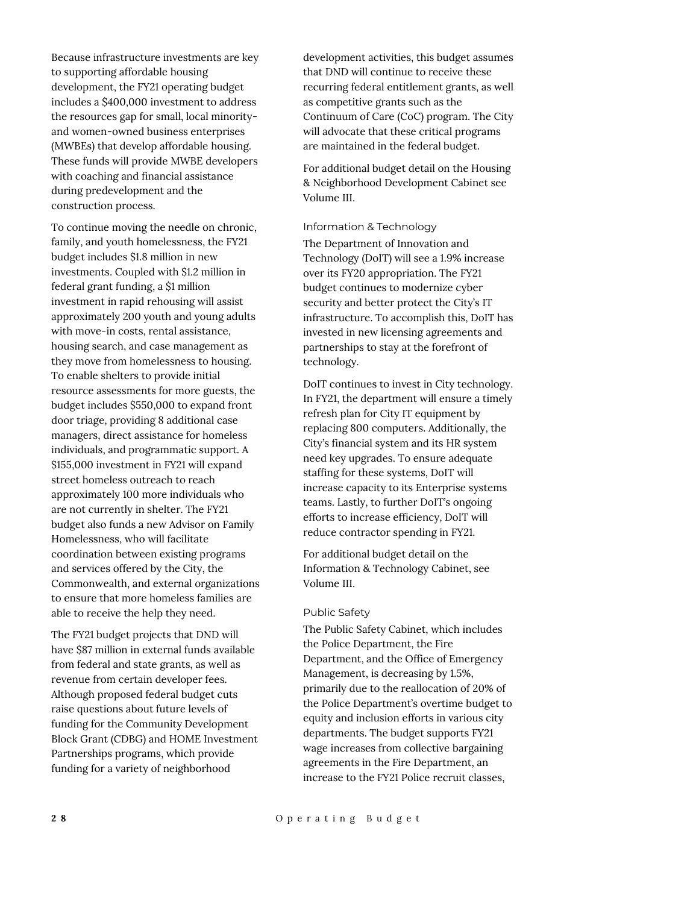Because infrastructure investments are key to supporting affordable housing development, the FY21 operating budget includes a \$400,000 investment to address the resources gap for small, local minorityand women-owned business enterprises (MWBEs) that develop affordable housing. These funds will provide MWBE developers with coaching and financial assistance during predevelopment and the construction process.

To continue moving the needle on chronic, family, and youth homelessness, the FY21 budget includes \$1.8 million in new investments. Coupled with \$1.2 million in federal grant funding, a \$1 million investment in rapid rehousing will assist approximately 200 youth and young adults with move-in costs, rental assistance, housing search, and case management as they move from homelessness to housing. To enable shelters to provide initial resource assessments for more guests, the budget includes \$550,000 to expand front door triage, providing 8 additional case managers, direct assistance for homeless individuals, and programmatic support. A \$155,000 investment in FY21 will expand street homeless outreach to reach approximately 100 more individuals who are not currently in shelter. The FY21 budget also funds a new Advisor on Family Homelessness, who will facilitate coordination between existing programs and services offered by the City, the Commonwealth, and external organizations to ensure that more homeless families are able to receive the help they need.

The FY21 budget projects that DND will have \$87 million in external funds available from federal and state grants, as well as revenue from certain developer fees. Although proposed federal budget cuts raise questions about future levels of funding for the Community Development Block Grant (CDBG) and HOME Investment Partnerships programs, which provide funding for a variety of neighborhood

development activities, this budget assumes that DND will continue to receive these recurring federal entitlement grants, as well as competitive grants such as the Continuum of Care (CoC) program. The City will advocate that these critical programs are maintained in the federal budget.

For additional budget detail on the Housing & Neighborhood Development Cabinet see Volume III.

#### Information & Technology

The Department of Innovation and Technology (DoIT) will see a 1.9% increase over its FY20 appropriation. The FY21 budget continues to modernize cyber security and better protect the City's IT infrastructure. To accomplish this, DoIT has invested in new licensing agreements and partnerships to stay at the forefront of technology.

DoIT continues to invest in City technology. In FY21, the department will ensure a timely refresh plan for City IT equipment by replacing 800 computers. Additionally, the City's financial system and its HR system need key upgrades. To ensure adequate staffing for these systems, DoIT will increase capacity to its Enterprise systems teams. Lastly, to further DoIT's ongoing efforts to increase efficiency, DoIT will reduce contractor spending in FY21.

For additional budget detail on the Information & Technology Cabinet, see Volume III.

#### Public Safety

The Public Safety Cabinet, which includes the Police Department, the Fire Department, and the Office of Emergency Management, is decreasing by 1.5%, primarily due to the reallocation of 20% of the Police Department's overtime budget to equity and inclusion efforts in various city departments. The budget supports FY21 wage increases from collective bargaining agreements in the Fire Department, an increase to the FY21 Police recruit classes,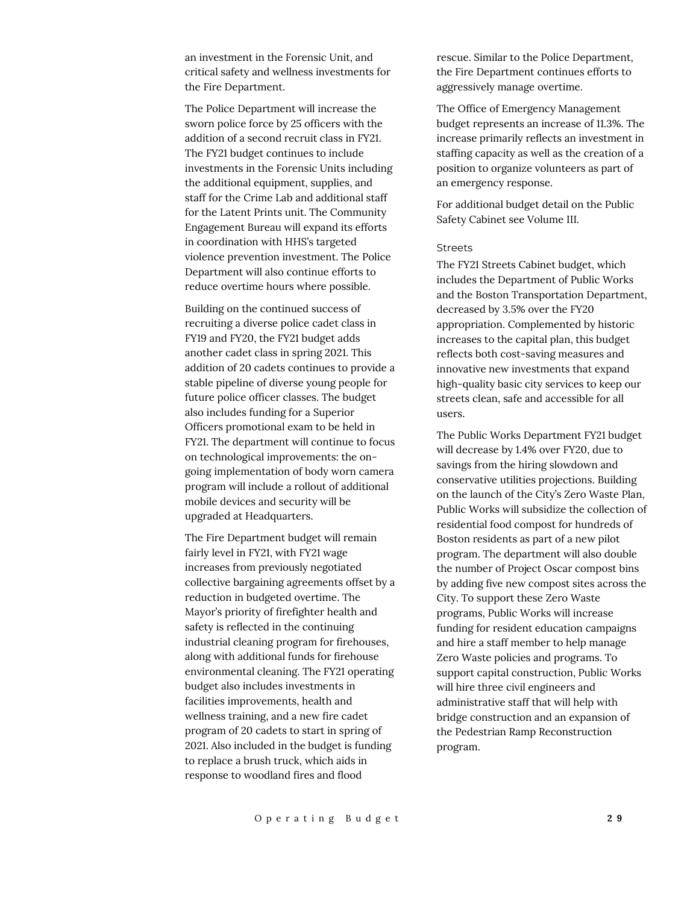an investment in the Forensic Unit, and critical safety and wellness investments for the Fire Department.

The Police Department will increase the sworn police force by 25 officers with the addition of a second recruit class in FY21. The FY21 budget continues to include investments in the Forensic Units including the additional equipment, supplies, and staff for the Crime Lab and additional staff for the Latent Prints unit. The Community Engagement Bureau will expand its efforts in coordination with HHS's targeted violence prevention investment. The Police Department will also continue efforts to reduce overtime hours where possible.

Building on the continued success of recruiting a diverse police cadet class in FY19 and FY20, the FY21 budget adds another cadet class in spring 2021. This addition of 20 cadets continues to provide a stable pipeline of diverse young people for future police officer classes. The budget also includes funding for a Superior Officers promotional exam to be held in FY21. The department will continue to focus on technological improvements: the ongoing implementation of body worn camera program will include a rollout of additional mobile devices and security will be upgraded at Headquarters.

The Fire Department budget will remain fairly level in FY21, with FY21 wage increases from previously negotiated collective bargaining agreements offset by a reduction in budgeted overtime. The Mayor's priority of firefighter health and safety is reflected in the continuing industrial cleaning program for firehouses, along with additional funds for firehouse environmental cleaning. The FY21 operating budget also includes investments in facilities improvements, health and wellness training, and a new fire cadet program of 20 cadets to start in spring of 2021. Also included in the budget is funding to replace a brush truck, which aids in response to woodland fires and flood

rescue. Similar to the Police Department, the Fire Department continues efforts to aggressively manage overtime.

The Office of Emergency Management budget represents an increase of 11.3%. The increase primarily reflects an investment in staffing capacity as well as the creation of a position to organize volunteers as part of an emergency response.

For additional budget detail on the Public Safety Cabinet see Volume III.

#### **Streets**

The FY21 Streets Cabinet budget, which includes the Department of Public Works and the Boston Transportation Department, decreased by 3.5% over the FY20 appropriation. Complemented by historic increases to the capital plan, this budget reflects both cost-saving measures and innovative new investments that expand high-quality basic city services to keep our streets clean, safe and accessible for all users.

The Public Works Department FY21 budget will decrease by 1.4% over FY20, due to savings from the hiring slowdown and conservative utilities projections. Building on the launch of the City's Zero Waste Plan, Public Works will subsidize the collection of residential food compost for hundreds of Boston residents as part of a new pilot program. The department will also double the number of Project Oscar compost bins by adding five new compost sites across the City. To support these Zero Waste programs, Public Works will increase funding for resident education campaigns and hire a staff member to help manage Zero Waste policies and programs. To support capital construction, Public Works will hire three civil engineers and administrative staff that will help with bridge construction and an expansion of the Pedestrian Ramp Reconstruction program.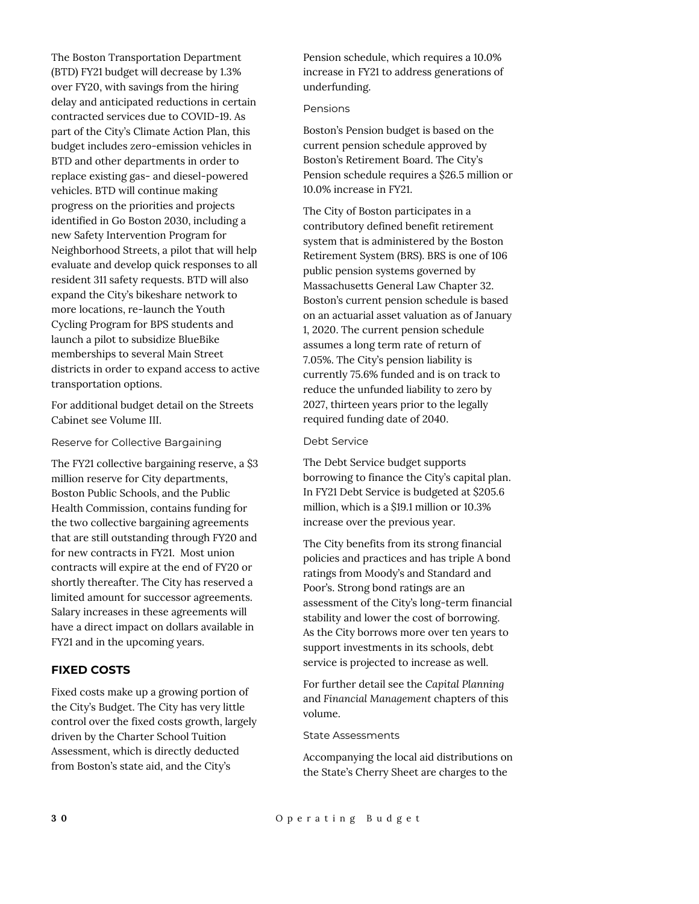The Boston Transportation Department (BTD) FY21 budget will decrease by 1.3% over FY20, with savings from the hiring delay and anticipated reductions in certain contracted services due to COVID-19. As part of the City's Climate Action Plan, this budget includes zero-emission vehicles in BTD and other departments in order to replace existing gas- and diesel-powered vehicles. BTD will continue making progress on the priorities and projects identified in Go Boston 2030, including a new Safety Intervention Program for Neighborhood Streets, a pilot that will help evaluate and develop quick responses to all resident 311 safety requests. BTD will also expand the City's bikeshare network to more locations, re-launch the Youth Cycling Program for BPS students and launch a pilot to subsidize BlueBike memberships to several Main Street districts in order to expand access to active transportation options.

For additional budget detail on the Streets Cabinet see Volume III.

Reserve for Collective Bargaining

The FY21 collective bargaining reserve, a \$3 million reserve for City departments, Boston Public Schools, and the Public Health Commission, contains funding for the two collective bargaining agreements that are still outstanding through FY20 and for new contracts in FY21. Most union contracts will expire at the end of FY20 or shortly thereafter. The City has reserved a limited amount for successor agreements. Salary increases in these agreements will have a direct impact on dollars available in FY21 and in the upcoming years.

## **FIXED COSTS**

Fixed costs make up a growing portion of the City's Budget. The City has very little control over the fixed costs growth, largely driven by the Charter School Tuition Assessment, which is directly deducted from Boston's state aid, and the City's

Pension schedule, which requires a 10.0% increase in FY21 to address generations of underfunding.

#### Pensions

Boston's Pension budget is based on the current pension schedule approved by Boston's Retirement Board. The City's Pension schedule requires a \$26.5 million or 10.0% increase in FY21.

The City of Boston participates in a contributory defined benefit retirement system that is administered by the Boston Retirement System (BRS). BRS is one of 106 public pension systems governed by Massachusetts General Law Chapter 32. Boston's current pension schedule is based on an actuarial asset valuation as of January 1, 2020. The current pension schedule assumes a long term rate of return of 7.05%. The City's pension liability is currently 75.6% funded and is on track to reduce the unfunded liability to zero by 2027, thirteen years prior to the legally required funding date of 2040.

Debt Service

The Debt Service budget supports borrowing to finance the City's capital plan. In FY21 Debt Service is budgeted at \$205.6 million, which is a \$19.1 million or 10.3% increase over the previous year.

The City benefits from its strong financial policies and practices and has triple A bond ratings from Moody's and Standard and Poor's. Strong bond ratings are an assessment of the City's long-term financial stability and lower the cost of borrowing. As the City borrows more over ten years to support investments in its schools, debt service is projected to increase as well.

For further detail see the *Capital Planning*  and *Financial Management* chapters of this volume.

State Assessments

Accompanying the local aid distributions on the State's Cherry Sheet are charges to the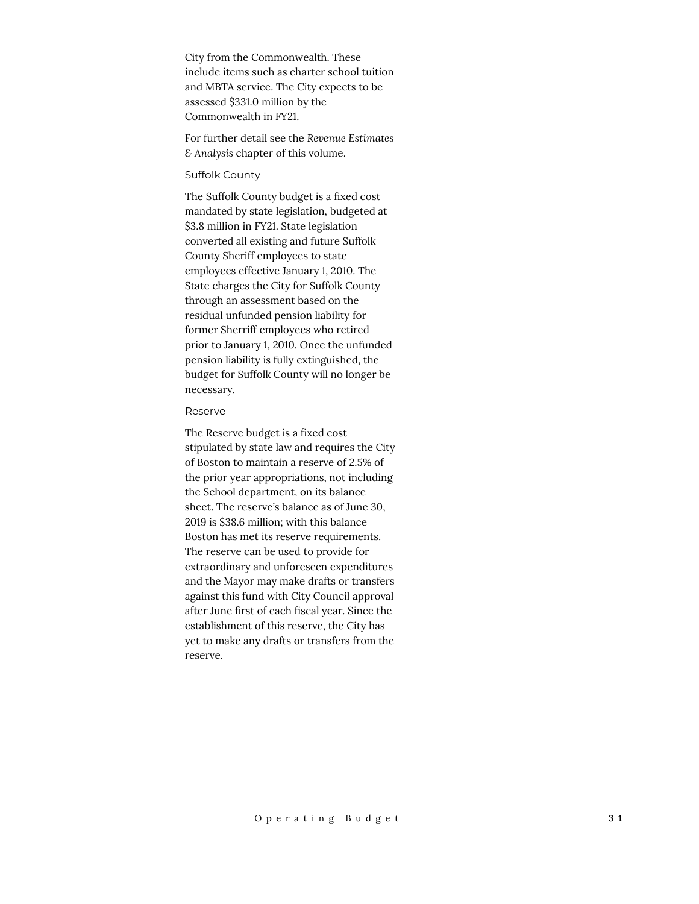City from the Commonwealth. These include items such as charter school tuition and MBTA service. The City expects to be assessed \$331.0 million by the Commonwealth in FY21.

For further detail see the *Revenue Estimates & Analysis* chapter of this volume.

#### Suffolk County

The Suffolk County budget is a fixed cost mandated by state legislation, budgeted at \$3.8 million in FY21. State legislation converted all existing and future Suffolk County Sheriff employees to state employees effective January 1, 2010. The State charges the City for Suffolk County through an assessment based on the residual unfunded pension liability for former Sherriff employees who retired prior to January 1, 2010. Once the unfunded pension liability is fully extinguished, the budget for Suffolk County will no longer be necessary.

#### Reserve

The Reserve budget is a fixed cost stipulated by state law and requires the City of Boston to maintain a reserve of 2.5% of the prior year appropriations, not including the School department, on its balance sheet. The reserve's balance as of June 30, 2019 is \$38.6 million; with this balance Boston has met its reserve requirements. The reserve can be used to provide for extraordinary and unforeseen expenditures and the Mayor may make drafts or transfers against this fund with City Council approval after June first of each fiscal year. Since the establishment of this reserve, the City has yet to make any drafts or transfers from the reserve.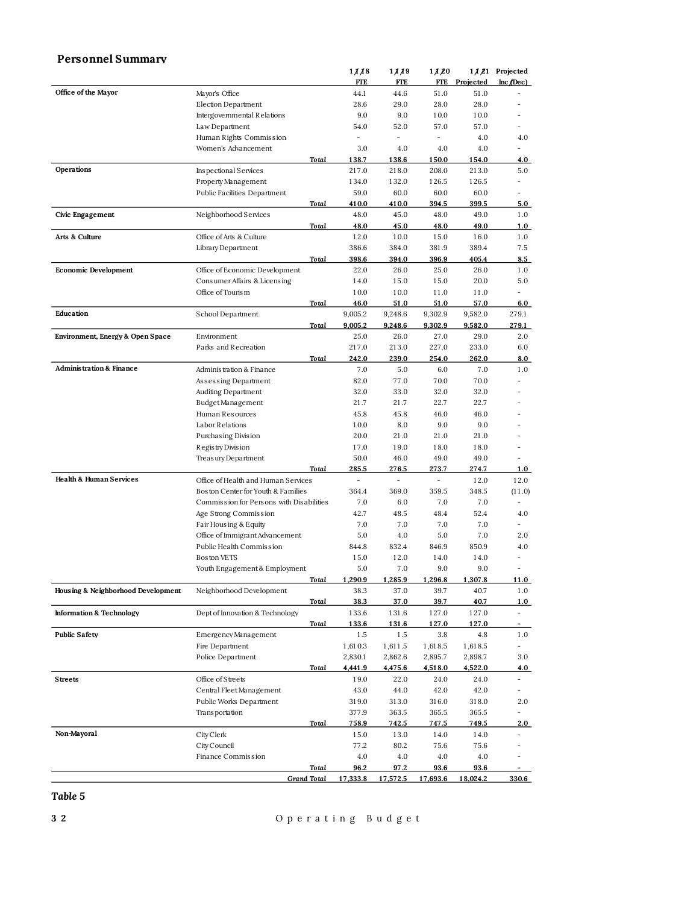## **Personnel Summary**

|                                     |                                          | 11/18      | 1119            | 1/1/20     |             | 1 Å 21 Projected         |
|-------------------------------------|------------------------------------------|------------|-----------------|------------|-------------|--------------------------|
|                                     |                                          | <b>FTE</b> | <b>FTE</b>      | <b>FTE</b> | Projected   | $Inc$ (Dec)              |
| Office of the Mayor                 | Mayor's Office                           | 44.1       | 44.6            | 51.0       | 51.0        |                          |
|                                     | Election Department                      | 28.6       | 29.0            | 28.0       | 28.0        | ۰                        |
|                                     | Intergovernmental Relations              | 9.0        | 9.0             | 10.0       | 10.0        |                          |
|                                     | Law Department                           | 54.0       | 52.0            | 57.0       | 57.0        | $\overline{\phantom{0}}$ |
|                                     | Human Rights Commission                  |            | ÷,              | ÷.         | 4.0         | 4.0                      |
|                                     | Women's Advancement                      | 3.0        | 4.0             | 4.0        | 4.0         |                          |
|                                     | Total                                    | 138.7      | 138.6           | 150.0      | 154.0       | 4.0                      |
| Operations                          | Inspectional Services                    | 217.0      | 218.0           | 208.0      | 213.0       | 5.0                      |
|                                     | Property Management                      | 134.0      | 132.0           | 126.5      | 126.5       | ÷.                       |
|                                     | Public Facilities Department             | 59.0       | 60.0            | 60.0       | 60.0        |                          |
|                                     |                                          |            |                 |            |             |                          |
|                                     | <u>Total</u>                             | 410.0      | 410.0           | 394.5      | 399.5       | 5.0                      |
| Civic Engagement                    | Neighborhood Services                    | 48.0       | 45.0            | 48.0       | 49.0        | 1.0                      |
|                                     | <u>Total</u>                             | 48.0       | 45.0            | 48.0       | 49.0        | 1.0                      |
| Arts & Culture                      | Office of Arts & Culture                 | 12.0       | 10.0            | 15.0       | 16.0        | 1.0                      |
|                                     | Library Department                       | 386.6      | 384.0           | 381.9      | 389.4       | 7.5                      |
|                                     | Total                                    | 398.6      | 394.0           | 396.9      | 405.4       | 8.5                      |
| <b>Economic Development</b>         | Office of Economic Development           | 22.0       | 26.0            | 25.0       | 26.0        | 1.0                      |
|                                     | Consumer Affairs & Licensing             | 14.0       | 15.0            | 15.0       | 20.0        | 5.0                      |
|                                     | Office of Touris m                       | 10.0       | 10.0            | 11.0       | 11.0        |                          |
|                                     | Total                                    | 46.0       | 51.0            | 51.0       | 57.0        | 6.0                      |
| Education                           | School Department                        | 9,005.2    | 9,248.6         | 9,302.9    | 9,582.0     | 279.1                    |
|                                     | <u>Total</u>                             | 9,005.2    | 9,248.6         | 9,302.9    | 9,582.0     | 279.1                    |
| Environment, Energy & Open Space    | Environment                              | 25.0       | 26.0            | 27.0       | 29.0        | 2.0                      |
|                                     | Parks and Recreation                     | 217.0      | 213.0           | 227.0      | 233.0       | 6.0                      |
|                                     | Total                                    | 242.0      | 239.0           | 254.0      | 262.0       | 8.0                      |
| <b>Administration &amp; Finance</b> | Administration & Finance                 | 7.0        | 5.0             | 6.0        | 7.0         | 1.0                      |
|                                     | Assessing Department                     | 82.0       | 77.0            | 70.0       | 70.0        | ۰                        |
|                                     | Auditing Department                      | 32.0       | 33.0            | 32.0       | 32.0        |                          |
|                                     | BudgetManagement                         | 21.7       | 21.7            | 22.7       | 22.7        |                          |
|                                     | Human Resources                          | 45.8       | 45.8            | 46.0       | 46.0        |                          |
|                                     |                                          |            |                 |            |             |                          |
|                                     | Labor Relations                          | 10.0       | 8.0             | 9.0        | 9.0         |                          |
|                                     | Purchasing Division                      | 20.0       | 21.0            | 21.0       | 21.0        |                          |
|                                     | Regis try Division                       | 17.0       | 19.0            | 18.0       | 18.0        | -                        |
|                                     | Treasury Department                      | 50.0       | 46.0            | 49.0       | 49.0        |                          |
|                                     | Total                                    | 285.5      | 276.5           | 273.7      | 274.7       | 1.0                      |
| <b>Health &amp; Human Services</b>  | Office of Health and Human Services      | ÷          | Ē,              | ÷,         | 12.0        | 12.0                     |
|                                     | Boston Center for Youth & Families       | 364.4      | 369.0           | 359.5      | 348.5       | (11.0)                   |
|                                     | Commission for Persons with Disabilities | 7.0        | 6.0             | 7.0        | 7.0         | $\overline{\phantom{0}}$ |
|                                     | Age Strong Commission                    | 42.7       | 48.5            | 48.4       | 52.4        | 4.0                      |
|                                     | Fair Housing & Equity                    | 7.0        | 7.0             | 7.0        | 7.0         |                          |
|                                     | Office of Immigrant Advancement          | 5.0        | 4.0             | 5.0        | 7.0         | 2.0                      |
|                                     | Public Health Commission                 | 844.8      | 832.4           | 846.9      | 850.9       | 4.0                      |
|                                     | Boston VETS                              | 15.0       | 12.0            | 14.0       | 14.0        |                          |
|                                     | Youth Engagement & Employment            | 5.0        | 7.0             | 9.0        | 9.0         |                          |
|                                     | Total                                    | 1.290.9    | 1,285.9         | 1.296.8    | 1,307.8     | 11.0                     |
| Housing & Neighborhood Development  | Neighborhood Development                 | 38.3       | 37.0            | 39.7       | 40.7        | 1.0                      |
|                                     | Total                                    | 38.3       | 37.0            | 39.7       | 40.7        | 1.0                      |
| <b>Information &amp; Technology</b> | Dept of Innovation & Technology          | 133.6      | 131.6           | 127.0      | 127.0       | $\overline{\phantom{a}}$ |
|                                     | Total                                    | 133.6      | 131.6           | 127.0      | 127.0       |                          |
| <b>Public Safety</b>                | Emergency Management                     | 1.5        | 1.5             | 3.8        | 4.8         | 1.0                      |
|                                     | Fire Department                          | 1,610.3    | 1,611.5         | 1,618.5    | 1,618.5     |                          |
|                                     | Police Department                        | 2,830.1    | 2,862.6         | 2,895.7    | 2,898.7     | 3.0                      |
|                                     | Total                                    |            |                 |            | 4.522.0     |                          |
|                                     |                                          | 4,441.9    | 4,475.6         | 4,518.0    |             | 4.0                      |
| <b>Streets</b>                      | Office of Streets                        | 19.0       | 22.0            | 24.0       | 24.0        | $\overline{\phantom{a}}$ |
|                                     | Central Fleet Management                 | 43.0       | 44.0            | 42.0       | 42.0        |                          |
|                                     | Public Works Department                  | 319.0      | 313.0           | 316.0      | 318.0       | 2.0                      |
|                                     | Transportation                           | 377.9      | 363.5           | 365.5      | 365.5       |                          |
|                                     | Total                                    | 758.9      | 742.5           | 747.5      | 749.5       | 2.0                      |
| Non-Mayoral                         | City Clerk                               | 15.0       | 13.0            | 14.0       | 14.0        | $\overline{\phantom{0}}$ |
|                                     | City Council                             | 77.2       | 80.2            | 75.6       | 75.6        |                          |
|                                     | Finance Commission                       | 4.0        | 4.0             | 4.0        | 4.0         |                          |
|                                     | <b>Total</b>                             | 96.2       | 97.2            | 93.6       | <u>93.6</u> |                          |
|                                     | <b>Grand Total</b>                       | 17,333.8   | <u>17,572.5</u> | 17,693.6   | 18,024.2    | 330.6                    |

#### *Table 5*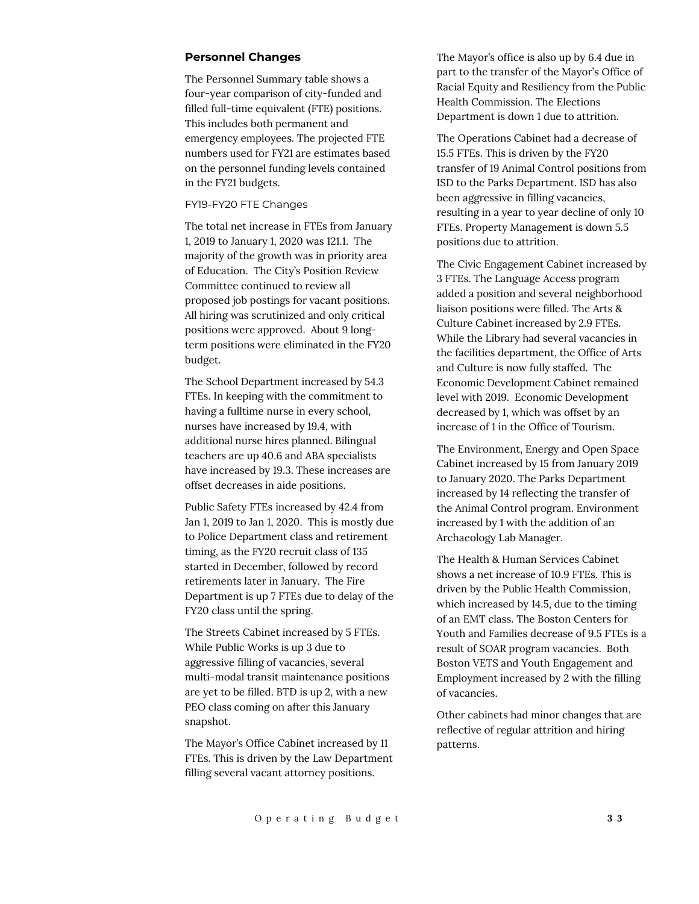#### **Personnel Changes**

The Personnel Summary table shows a four-year comparison of city-funded and filled full-time equivalent (FTE) positions. This includes both permanent and emergency employees. The projected FTE numbers used for FY21 are estimates based on the personnel funding levels contained in the FY21 budgets.

#### FY19-FY20 FTE Changes

The total net increase in FTEs from January 1, 2019 to January 1, 2020 was 121.1. The majority of the growth was in priority area of Education. The City's Position Review Committee continued to review all proposed job postings for vacant positions. All hiring was scrutinized and only critical positions were approved. About 9 longterm positions were eliminated in the FY20 budget.

The School Department increased by 54.3 FTEs. In keeping with the commitment to having a fulltime nurse in every school, nurses have increased by 19.4, with additional nurse hires planned. Bilingual teachers are up 40.6 and ABA specialists have increased by 19.3. These increases are offset decreases in aide positions.

Public Safety FTEs increased by 42.4 from Jan 1, 2019 to Jan 1, 2020. This is mostly due to Police Department class and retirement timing, as the FY20 recruit class of 135 started in December, followed by record retirements later in January. The Fire Department is up 7 FTEs due to delay of the FY20 class until the spring.

The Streets Cabinet increased by 5 FTEs. While Public Works is up 3 due to aggressive filling of vacancies, several multi-modal transit maintenance positions are yet to be filled. BTD is up 2, with a new PEO class coming on after this January snapshot.

The Mayor's Office Cabinet increased by 11 FTEs. This is driven by the Law Department filling several vacant attorney positions.

The Mayor's office is also up by 6.4 due in part to the transfer of the Mayor's Office of Racial Equity and Resiliency from the Public Health Commission. The Elections Department is down 1 due to attrition.

The Operations Cabinet had a decrease of 15.5 FTEs. This is driven by the FY20 transfer of 19 Animal Control positions from ISD to the Parks Department. ISD has also been aggressive in filling vacancies, resulting in a year to year decline of only 10 FTEs. Property Management is down 5.5 positions due to attrition.

The Civic Engagement Cabinet increased by 3 FTEs. The Language Access program added a position and several neighborhood liaison positions were filled. The Arts & Culture Cabinet increased by 2.9 FTEs. While the Library had several vacancies in the facilities department, the Office of Arts and Culture is now fully staffed. The Economic Development Cabinet remained level with 2019. Economic Development decreased by 1, which was offset by an increase of 1 in the Office of Tourism.

The Environment, Energy and Open Space Cabinet increased by 15 from January 2019 to January 2020. The Parks Department increased by 14 reflecting the transfer of the Animal Control program. Environment increased by 1 with the addition of an Archaeology Lab Manager.

The Health & Human Services Cabinet shows a net increase of 10.9 FTEs. This is driven by the Public Health Commission, which increased by 14.5, due to the timing of an EMT class. The Boston Centers for Youth and Families decrease of 9.5 FTEs is a result of SOAR program vacancies. Both Boston VETS and Youth Engagement and Employment increased by 2 with the filling of vacancies.

Other cabinets had minor changes that are reflective of regular attrition and hiring patterns.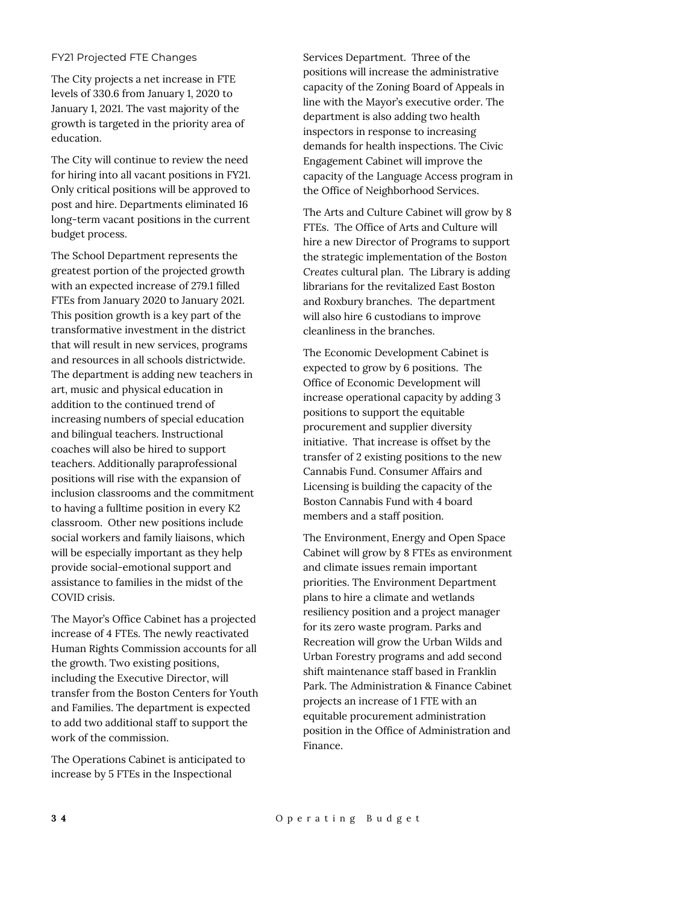#### FY21 Projected FTE Changes

The City projects a net increase in FTE levels of 330.6 from January 1, 2020 to January 1, 2021. The vast majority of the growth is targeted in the priority area of education.

The City will continue to review the need for hiring into all vacant positions in FY21. Only critical positions will be approved to post and hire. Departments eliminated 16 long-term vacant positions in the current budget process.

The School Department represents the greatest portion of the projected growth with an expected increase of 279.1 filled FTEs from January 2020 to January 2021. This position growth is a key part of the transformative investment in the district that will result in new services, programs and resources in all schools districtwide. The department is adding new teachers in art, music and physical education in addition to the continued trend of increasing numbers of special education and bilingual teachers. Instructional coaches will also be hired to support teachers. Additionally paraprofessional positions will rise with the expansion of inclusion classrooms and the commitment to having a fulltime position in every K2 classroom. Other new positions include social workers and family liaisons, which will be especially important as they help provide social-emotional support and assistance to families in the midst of the COVID crisis.

The Mayor's Office Cabinet has a projected increase of 4 FTEs. The newly reactivated Human Rights Commission accounts for all the growth. Two existing positions, including the Executive Director, will transfer from the Boston Centers for Youth and Families. The department is expected to add two additional staff to support the work of the commission.

The Operations Cabinet is anticipated to increase by 5 FTEs in the Inspectional

Services Department. Three of the positions will increase the administrative capacity of the Zoning Board of Appeals in line with the Mayor's executive order. The department is also adding two health inspectors in response to increasing demands for health inspections. The Civic Engagement Cabinet will improve the capacity of the Language Access program in the Office of Neighborhood Services.

The Arts and Culture Cabinet will grow by 8 FTEs. The Office of Arts and Culture will hire a new Director of Programs to support the strategic implementation of the *Boston Creates* cultural plan. The Library is adding librarians for the revitalized East Boston and Roxbury branches. The department will also hire 6 custodians to improve cleanliness in the branches.

The Economic Development Cabinet is expected to grow by 6 positions. The Office of Economic Development will increase operational capacity by adding 3 positions to support the equitable procurement and supplier diversity initiative. That increase is offset by the transfer of 2 existing positions to the new Cannabis Fund. Consumer Affairs and Licensing is building the capacity of the Boston Cannabis Fund with 4 board members and a staff position.

The Environment, Energy and Open Space Cabinet will grow by 8 FTEs as environment and climate issues remain important priorities. The Environment Department plans to hire a climate and wetlands resiliency position and a project manager for its zero waste program. Parks and Recreation will grow the Urban Wilds and Urban Forestry programs and add second shift maintenance staff based in Franklin Park. The Administration & Finance Cabinet projects an increase of 1 FTE with an equitable procurement administration position in the Office of Administration and Finance.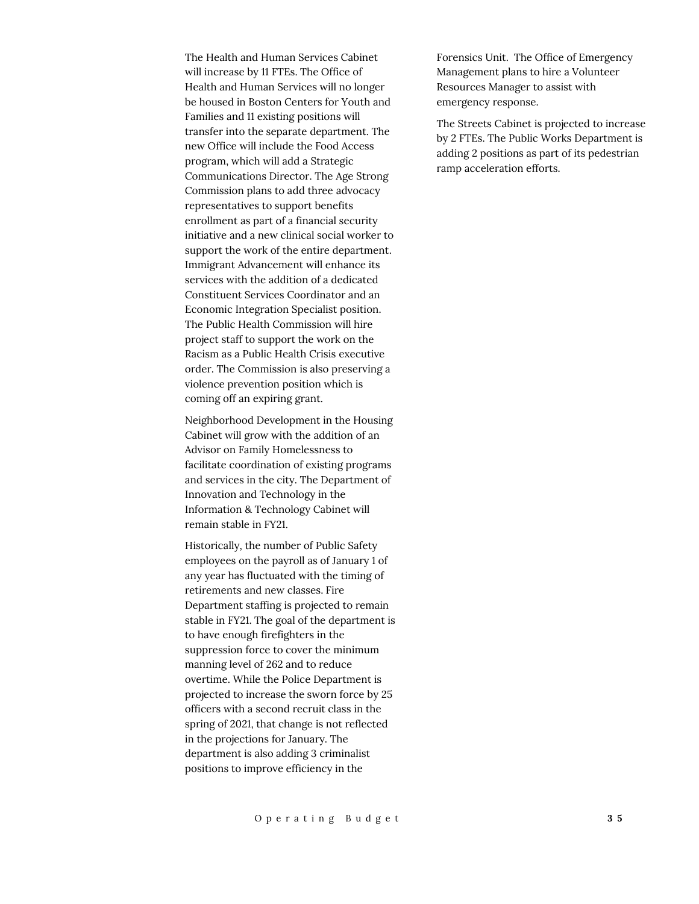The Health and Human Services Cabinet will increase by 11 FTEs. The Office of Health and Human Services will no longer be housed in Boston Centers for Youth and Families and 11 existing positions will transfer into the separate department. The new Office will include the Food Access program, which will add a Strategic Communications Director. The Age Strong Commission plans to add three advocacy representatives to support benefits enrollment as part of a financial security initiative and a new clinical social worker to support the work of the entire department. Immigrant Advancement will enhance its services with the addition of a dedicated Constituent Services Coordinator and an Economic Integration Specialist position. The Public Health Commission will hire project staff to support the work on the Racism as a Public Health Crisis executive order. The Commission is also preserving a violence prevention position which is coming off an expiring grant.

Neighborhood Development in the Housing Cabinet will grow with the addition of an Advisor on Family Homelessness to facilitate coordination of existing programs and services in the city. The Department of Innovation and Technology in the Information & Technology Cabinet will remain stable in FY21.

Historically, the number of Public Safety employees on the payroll as of January 1 of any year has fluctuated with the timing of retirements and new classes. Fire Department staffing is projected to remain stable in FY21. The goal of the department is to have enough firefighters in the suppression force to cover the minimum manning level of 262 and to reduce overtime. While the Police Department is projected to increase the sworn force by 25 officers with a second recruit class in the spring of 2021, that change is not reflected in the projections for January. The department is also adding 3 criminalist positions to improve efficiency in the

Forensics Unit. The Office of Emergency Management plans to hire a Volunteer Resources Manager to assist with emergency response.

The Streets Cabinet is projected to increase by 2 FTEs. The Public Works Department is adding 2 positions as part of its pedestrian ramp acceleration efforts.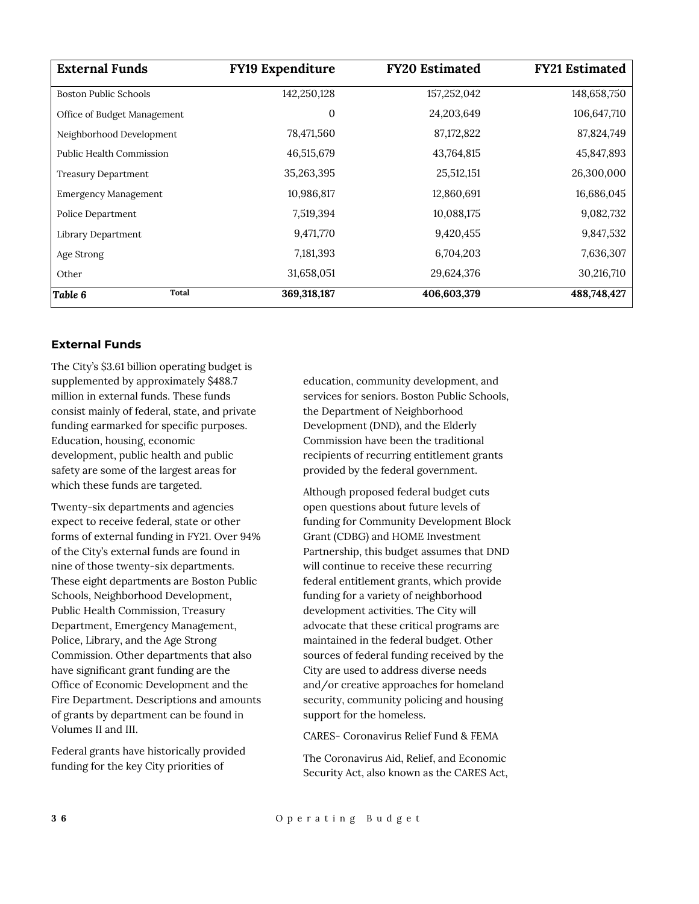| <b>External Funds</b>        | <b>FY19 Expenditure</b> | <b>FY20 Estimated</b> | <b>FY21 Estimated</b> |
|------------------------------|-------------------------|-----------------------|-----------------------|
| <b>Boston Public Schools</b> | 142,250,128             | 157,252,042           | 148,658,750           |
| Office of Budget Management  | 0                       | 24,203,649            | 106,647,710           |
| Neighborhood Development     | 78,471,560              | 87,172,822            | 87,824,749            |
| Public Health Commission     | 46,515,679              | 43,764,815            | 45,847,893            |
| <b>Treasury Department</b>   | 35,263,395              | 25,512,151            | 26,300,000            |
| <b>Emergency Management</b>  | 10,986,817              | 12,860,691            | 16,686,045            |
| Police Department            | 7,519,394               | 10,088,175            | 9,082,732             |
| Library Department           | 9,471,770               | 9,420,455             | 9,847,532             |
| Age Strong                   | 7,181,393               | 6,704,203             | 7,636,307             |
| Other                        | 31,658,051              | 29,624,376            | 30,216,710            |
| <b>Total</b><br>Table 6      | 369,318,187             | 406,603,379           | 488,748,427           |

## **External Funds**

The City's \$3.61 billion operating budget is supplemented by approximately \$488.7 million in external funds. These funds consist mainly of federal, state, and private funding earmarked for specific purposes. Education, housing, economic development, public health and public safety are some of the largest areas for which these funds are targeted.

Twenty-six departments and agencies expect to receive federal, state or other forms of external funding in FY21. Over 94% of the City's external funds are found in nine of those twenty-six departments. These eight departments are Boston Public Schools, Neighborhood Development, Public Health Commission, Treasury Department, Emergency Management, Police, Library, and the Age Strong Commission. Other departments that also have significant grant funding are the Office of Economic Development and the Fire Department. Descriptions and amounts of grants by department can be found in Volumes II and III.

Federal grants have historically provided funding for the key City priorities of

education, community development, and services for seniors. Boston Public Schools, the Department of Neighborhood Development (DND), and the Elderly Commission have been the traditional recipients of recurring entitlement grants provided by the federal government.

Although proposed federal budget cuts open questions about future levels of funding for Community Development Block Grant (CDBG) and HOME Investment Partnership, this budget assumes that DND will continue to receive these recurring federal entitlement grants, which provide funding for a variety of neighborhood development activities. The City will advocate that these critical programs are maintained in the federal budget. Other sources of federal funding received by the City are used to address diverse needs and/or creative approaches for homeland security, community policing and housing support for the homeless.

CARES- Coronavirus Relief Fund & FEMA

The Coronavirus Aid, Relief, and Economic Security Act, also known as the CARES Act,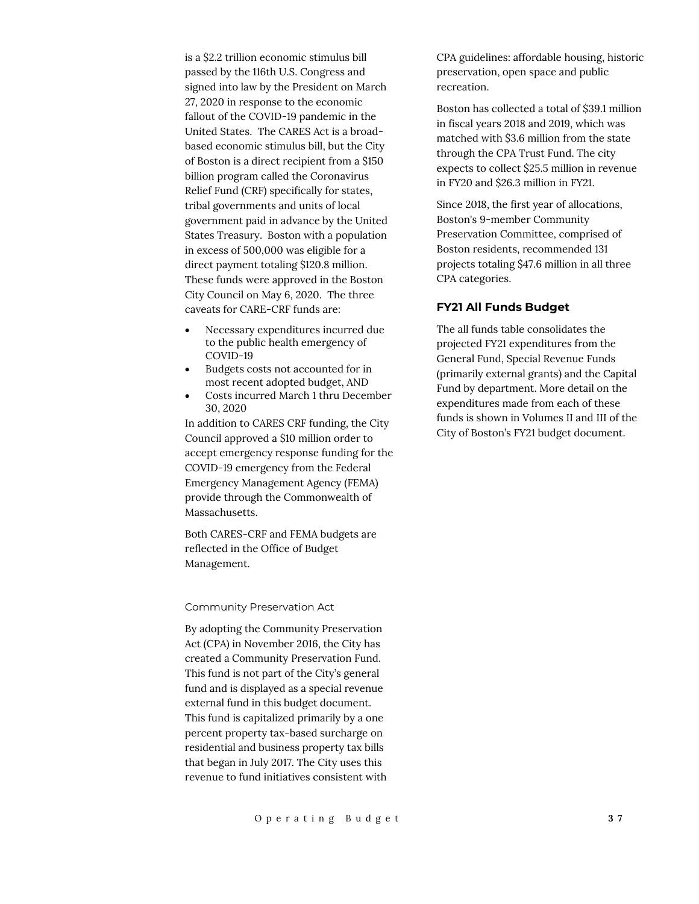is a \$2.2 trillion economic stimulus bill passed by the 116th U.S. Congress and signed into law by the President on March 27, 2020 in response to the economic fallout of the COVID-19 pandemic in the United States. The CARES Act is a broadbased economic stimulus bill, but the City of Boston is a direct recipient from a \$150 billion program called the Coronavirus Relief Fund (CRF) specifically for states, tribal governments and units of local government paid in advance by the United States Treasury. Boston with a population in excess of 500,000 was eligible for a direct payment totaling \$120.8 million. These funds were approved in the Boston City Council on May 6, 2020. The three caveats for CARE-CRF funds are:

- Necessary expenditures incurred due to the public health emergency of COVID‐19
- Budgets costs not accounted for in most recent adopted budget, AND
- Costs incurred March 1 thru December 30, 2020

In addition to CARES CRF funding, the City Council approved a \$10 million order to accept emergency response funding for the COVID-19 emergency from the Federal Emergency Management Agency (FEMA) provide through the Commonwealth of Massachusetts.

Both CARES-CRF and FEMA budgets are reflected in the Office of Budget Management.

#### Community Preservation Act

By adopting the Community Preservation Act (CPA) in November 2016, the City has created a Community Preservation Fund. This fund is not part of the City's general fund and is displayed as a special revenue external fund in this budget document. This fund is capitalized primarily by a one percent property tax-based surcharge on residential and business property tax bills that began in July 2017. The City uses this revenue to fund initiatives consistent with CPA guidelines: affordable housing, historic preservation, open space and public recreation.

Boston has collected a total of \$39.1 million in fiscal years 2018 and 2019, which was matched with \$3.6 million from the state through the CPA Trust Fund. The city expects to collect \$25.5 million in revenue in FY20 and \$26.3 million in FY21.

Since 2018, the first year of allocations, Boston's 9-member Community Preservation Committee, comprised of Boston residents, recommended 131 projects totaling \$47.6 million in all three CPA categories.

## **FY21 All Funds Budget**

The all funds table consolidates the projected FY21 expenditures from the General Fund, Special Revenue Funds (primarily external grants) and the Capital Fund by department. More detail on the expenditures made from each of these funds is shown in Volumes II and III of the City of Boston's FY21 budget document.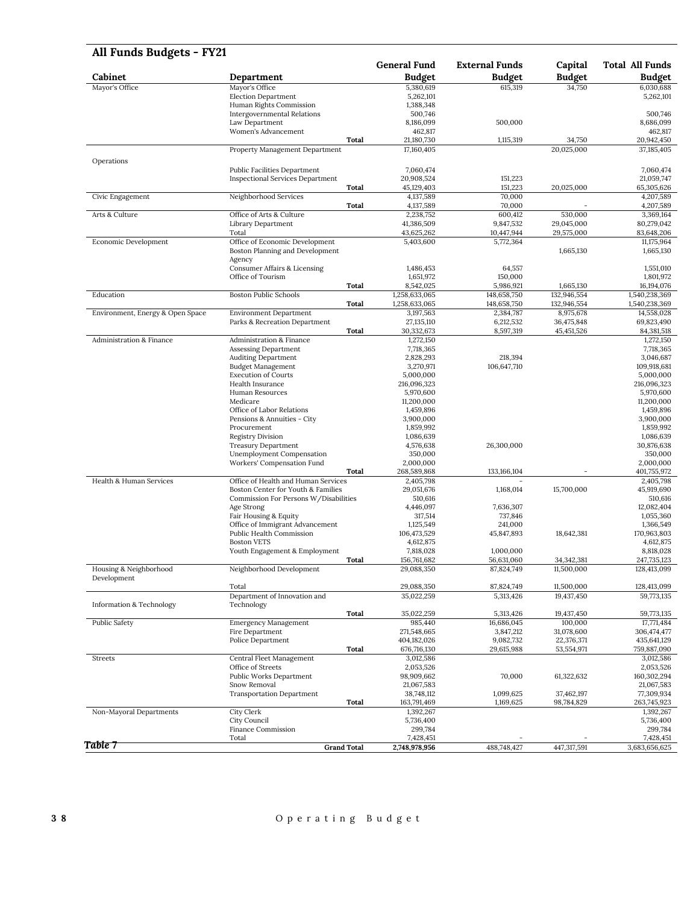| All Funds Budgets - FY21            |                                                          |                            |                         |                          |                            |
|-------------------------------------|----------------------------------------------------------|----------------------------|-------------------------|--------------------------|----------------------------|
|                                     |                                                          | <b>General Fund</b>        | <b>External Funds</b>   | Capital                  | Total All Funds            |
| Cabinet                             | Department                                               | <b>Budget</b>              | <b>Budget</b>           | <b>Budget</b>            | <b>Budget</b>              |
| Mayor's Office                      | Mayor's Office                                           | 5,380,619                  | 615.319                 | 34,750                   | 6,030,688                  |
|                                     | <b>Election Department</b><br>Human Rights Commission    | 5,262,101<br>1,388,348     |                         |                          | 5,262,101                  |
|                                     | <b>Intergovernmental Relations</b>                       | 500,746                    |                         |                          | 500,746                    |
|                                     | Law Department                                           | 8,186,099                  | 500,000                 |                          | 8,686,099                  |
|                                     | Women's Advancement                                      | 462,817                    |                         |                          | 462,817                    |
|                                     | Total                                                    | 21,180,730                 | 1,115,319               | 34,750                   | 20,942,450                 |
|                                     | Property Management Department                           | 17,160,405                 |                         | 20,025,000               | 37,185,405                 |
| Operations                          |                                                          |                            |                         |                          |                            |
|                                     | <b>Public Facilities Department</b>                      | 7,060,474                  |                         |                          | 7,060,474                  |
|                                     | <b>Inspectional Services Department</b>                  | 20,908,524                 | 151.223                 |                          | 21,059,747                 |
|                                     | Total                                                    | 45,129,403                 | 151,223                 | 20,025,000               | 65,305,626                 |
| Civic Engagement                    | Neighborhood Services                                    | 4,137,589                  | 70,000                  |                          | 4,207,589                  |
|                                     | Total                                                    | 4,137,589                  | 70,000                  |                          | 4,207,589                  |
| Arts & Culture                      | Office of Arts & Culture                                 | 2,238,752                  | 600,412                 | 530,000                  | 3,369,164                  |
|                                     | Library Department                                       | 41,386,509                 | 9,847,532               | 29,045,000               | 80,279,042                 |
|                                     | Total                                                    | 43,625,262                 | 10,447,944              | 29,575,000               | 83,648,206                 |
| Economic Development                | Office of Economic Development                           | 5,403,600                  | 5,772,364               |                          | 11,175,964                 |
|                                     | Boston Planning and Development                          |                            |                         | 1,665,130                | 1,665,130                  |
|                                     | Agency                                                   |                            |                         |                          |                            |
|                                     | Consumer Affairs & Licensing                             | 1,486,453                  | 64,557                  |                          | 1,551,010                  |
|                                     | Office of Tourism                                        | 1,651,972                  | 150,000                 |                          | 1,801,972                  |
|                                     | Total                                                    | 8,542,025                  | 5,986,921               | 1,665,130                | 16,194,076                 |
| Education                           | <b>Boston Public Schools</b>                             | 1,258,633,065              | 148,658,750             | 132,946,554              | 1,540,238,369              |
|                                     | Total                                                    | 1,258,633,065              | 148,658,750             | 132,946,554              | 1,540,238,369              |
| Environment, Energy & Open Space    | <b>Environment Department</b>                            | 3,197,563                  | 2,384,787               | 8,975,678                | 14,558,028                 |
|                                     | Parks & Recreation Department                            | 27,135,110                 | 6,212,532               | 36,475,848               | 69,823,490                 |
|                                     | Total                                                    | 30,332,673                 | 8,597,319               | 45,451,526               | 84,381,518                 |
| Administration & Finance            | Administration & Finance                                 | 1,272,150                  |                         |                          | 1,272,150                  |
|                                     | Assessing Department                                     | 7,718,365                  |                         |                          | 7,718,365                  |
|                                     | <b>Auditing Department</b>                               | 2,828,293                  | 218.394                 |                          | 3,046,687                  |
|                                     | <b>Budget Management</b>                                 | 3,270,971                  | 106,647,710             |                          | 109,918,681                |
|                                     | <b>Execution of Courts</b>                               | 5,000,000                  |                         |                          | 5,000,000                  |
|                                     | Health Insurance                                         | 216,096,323                |                         |                          | 216,096,323                |
|                                     | Human Resources                                          | 5,970,600                  |                         |                          | 5,970,600                  |
|                                     | Medicare                                                 | 11,200,000                 |                         |                          | 11,200,000                 |
|                                     | Office of Labor Relations<br>Pensions & Annuities - City | 1,459,896<br>3,900,000     |                         |                          | 1,459,896<br>3,900,000     |
|                                     | Procurement                                              | 1,859,992                  |                         |                          | 1,859,992                  |
|                                     | <b>Registry Division</b>                                 | 1,086,639                  |                         |                          | 1,086,639                  |
|                                     | <b>Treasury Department</b>                               | 4,576,638                  | 26,300,000              |                          | 30,876,638                 |
|                                     | Unemployment Compensation                                | 350,000                    |                         |                          | 350,000                    |
|                                     | Workers' Compensation Fund                               | 2,000,000                  |                         |                          | 2,000,000                  |
|                                     | Total                                                    | 268,589,868                | 133, 166, 104           |                          | 401,755,972                |
| Health & Human Services             | Office of Health and Human Services                      | 2,405,798                  |                         |                          | 2,405,798                  |
|                                     | Boston Center for Youth & Families                       | 29,051,676                 | 1,168,014               | 15,700,000               | 45,919,690                 |
|                                     | Commission For Persons W/Disabilities                    | 510,616                    |                         |                          | 510,616                    |
|                                     | Age Strong                                               | 4,446,097                  | 7,636,307               |                          | 12,082,404                 |
|                                     | Fair Housing & Equity                                    | 317,514                    | 737,846                 |                          | 1,055,360                  |
|                                     | Office of Immigrant Advancement                          | 1,125,549                  | 241,000                 |                          | 1,366,549                  |
|                                     | Public Health Commission                                 | 106,473,529                | 45,847,893              | 18,642,381               | 170,963,803                |
|                                     | <b>Boston VETS</b>                                       | 4,612,875                  |                         |                          | 4,612,875                  |
|                                     | Youth Engagement & Employment                            | 7,818,028                  | 1,000,000               |                          | 8,818,028                  |
|                                     | Total                                                    | 156,761,682                | 56,631,060              | 34, 342, 381             | 247,735,123                |
| Housing & Neighborhood              | Neighborhood Development                                 | 29,088,350                 | 87,824,749              | 11,500,000               | 128,413,099                |
| Development                         |                                                          |                            |                         |                          |                            |
|                                     | Total                                                    | 29,088,350                 | 87,824,749              | 11,500,000               | 128,413,099                |
|                                     | Department of Innovation and                             | 35,022,259                 | 5,313,426               | 19,437,450               | 59,773,135                 |
| <b>Information &amp; Technology</b> | Technology                                               |                            |                         |                          |                            |
|                                     | <b>Total</b>                                             | 35,022,259                 | 5,313,426               | 19,437,450<br>100,000    | 59,773,135                 |
| Public Safety                       | <b>Emergency Management</b><br>Fire Department           | 985,440<br>271,548,665     | 16,686,045              |                          | 17,771,484<br>306,474,477  |
|                                     |                                                          |                            | 3,847,212               | 31,078,600               |                            |
|                                     | Police Department<br>Total                               | 404,182,026<br>676,716,130 | 9,082,732<br>29,615,988 | 22,376,371<br>53,554,971 | 435,641,129<br>759,887,090 |
| Streets                             | Central Fleet Management                                 | 3,012,586                  |                         |                          | 3,012,586                  |
|                                     | Office of Streets                                        | 2,053,526                  |                         |                          | 2,053,526                  |
|                                     | Public Works Department                                  | 98,909,662                 | 70,000                  | 61,322,632               | 160,302,294                |
|                                     | Snow Removal                                             | 21,067,583                 |                         |                          | 21,067,583                 |
|                                     | <b>Transportation Department</b>                         | 38,748,112                 | 1,099,625               | 37,462,197               | 77,309,934                 |
|                                     | Total                                                    | 163,791,469                | 1,169,625               | 98,784,829               | 263,745,923                |
| Non-Mayoral Departments             | City Clerk                                               | 1,392,267                  |                         |                          | 1,392,267                  |
|                                     | City Council                                             | 5,736,400                  |                         |                          | 5,736,400                  |
|                                     | Finance Commission                                       | 299,784                    |                         |                          | 299,784                    |
|                                     | Total                                                    | 7,428,451                  |                         |                          | 7,428,451                  |
| Table 7                             | <b>Grand Total</b>                                       | 2,748,978,956              | 488,748,427             | 447,317,591              | 3,683,656,625              |

## **3 8** O p e r a t i n g B u d g e t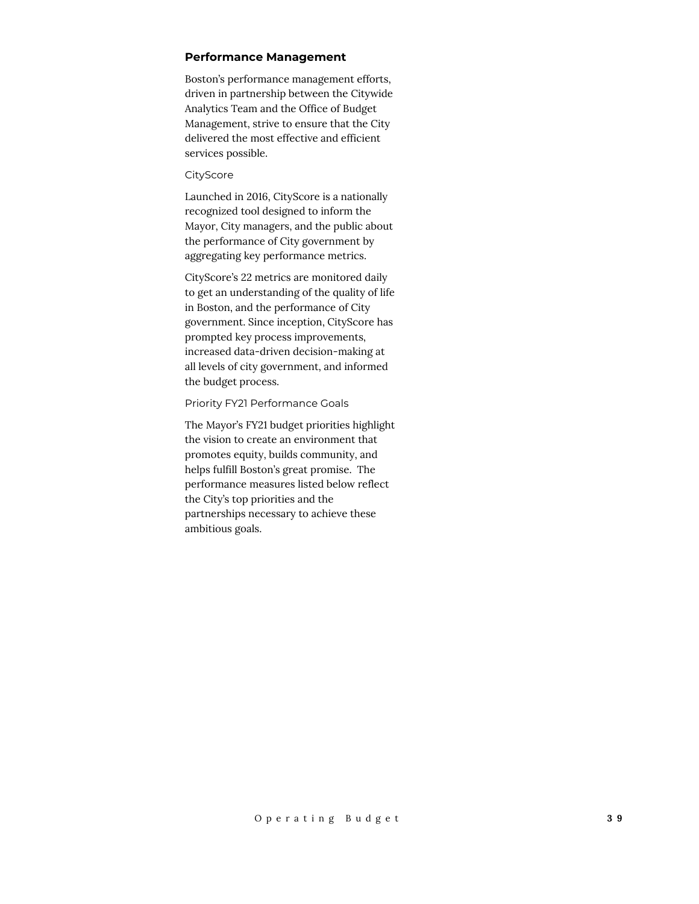#### **Performance Management**

Boston's performance management efforts, driven in partnership between the Citywide Analytics Team and the Office of Budget Management, strive to ensure that the City delivered the most effective and efficient services possible.

#### **CityScore**

Launched in 2016, CityScore is a nationally recognized tool designed to inform the Mayor, City managers, and the public about the performance of City government by aggregating key performance metrics.

CityScore's 22 metrics are monitored daily to get an understanding of the quality of life in Boston, and the performance of City government. Since inception, CityScore has prompted key process improvements, increased data-driven decision-making at all levels of city government, and informed the budget process.

#### Priority FY21 Performance Goals

The Mayor's FY21 budget priorities highlight the vision to create an environment that promotes equity, builds community, and helps fulfill Boston's great promise. The performance measures listed below reflect the City's top priorities and the partnerships necessary to achieve these ambitious goals.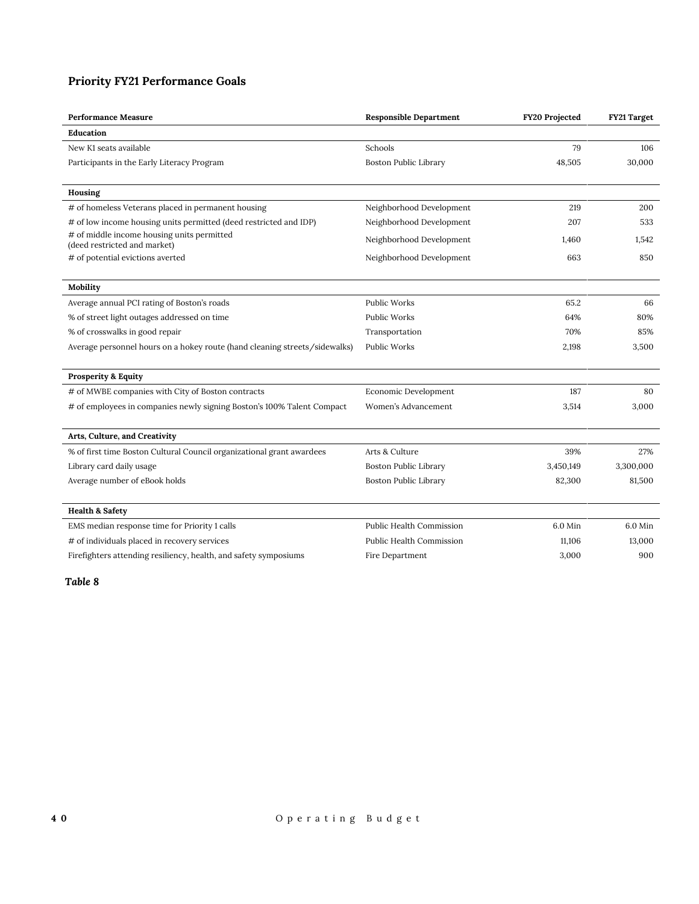## **Priority FY21 Performance Goals**

| <b>Performance Measure</b>                                                 | <b>Responsible Department</b>   | <b>FY20 Projected</b> | FY21 Target |
|----------------------------------------------------------------------------|---------------------------------|-----------------------|-------------|
| Education                                                                  |                                 |                       |             |
| New K1 seats available                                                     | Schools                         | 79                    | 106         |
| Participants in the Early Literacy Program                                 | <b>Boston Public Library</b>    | 48,505                | 30,000      |
|                                                                            |                                 |                       |             |
| Housing                                                                    |                                 |                       |             |
| # of homeless Veterans placed in permanent housing                         | Neighborhood Development        | 219                   | 200         |
| # of low income housing units permitted (deed restricted and IDP)          | Neighborhood Development        | 207                   | 533         |
| # of middle income housing units permitted<br>(deed restricted and market) | Neighborhood Development        | 1,460                 | 1.542       |
| # of potential evictions averted                                           | Neighborhood Development        | 663                   | 850         |
|                                                                            |                                 |                       |             |
| Mobility                                                                   |                                 |                       |             |
| Average annual PCI rating of Boston's roads                                | <b>Public Works</b>             | 65.2                  | 66          |
| % of street light outages addressed on time                                | <b>Public Works</b>             | 64%                   | 80%         |
| % of crosswalks in good repair                                             | Transportation                  | 70%                   | 85%         |
| Average personnel hours on a hokey route (hand cleaning streets/sidewalks) | Public Works                    | 2,198                 | 3,500       |
|                                                                            |                                 |                       |             |
| <b>Prosperity &amp; Equity</b>                                             |                                 |                       |             |
| # of MWBE companies with City of Boston contracts                          | Economic Development            | 187                   | 80          |
| # of employees in companies newly signing Boston's 100% Talent Compact     | Women's Advancement             | 3,514                 | 3,000       |
|                                                                            |                                 |                       |             |
| Arts, Culture, and Creativity                                              |                                 |                       |             |
| % of first time Boston Cultural Council organizational grant awardees      | Arts & Culture                  | 39%                   | 27%         |
| Library card daily usage                                                   | <b>Boston Public Library</b>    | 3,450,149             | 3,300,000   |
| Average number of eBook holds                                              | <b>Boston Public Library</b>    | 82,300                | 81,500      |
|                                                                            |                                 |                       |             |
| <b>Health &amp; Safety</b>                                                 |                                 |                       |             |
| EMS median response time for Priority 1 calls                              | Public Health Commission        | 6.0 Min               | 6.0 Min     |
| # of individuals placed in recovery services                               | <b>Public Health Commission</b> | 11,106                | 13,000      |
| Firefighters attending resiliency, health, and safety symposiums           | Fire Department                 | 3,000                 | 900         |
|                                                                            |                                 |                       |             |

*Table 8*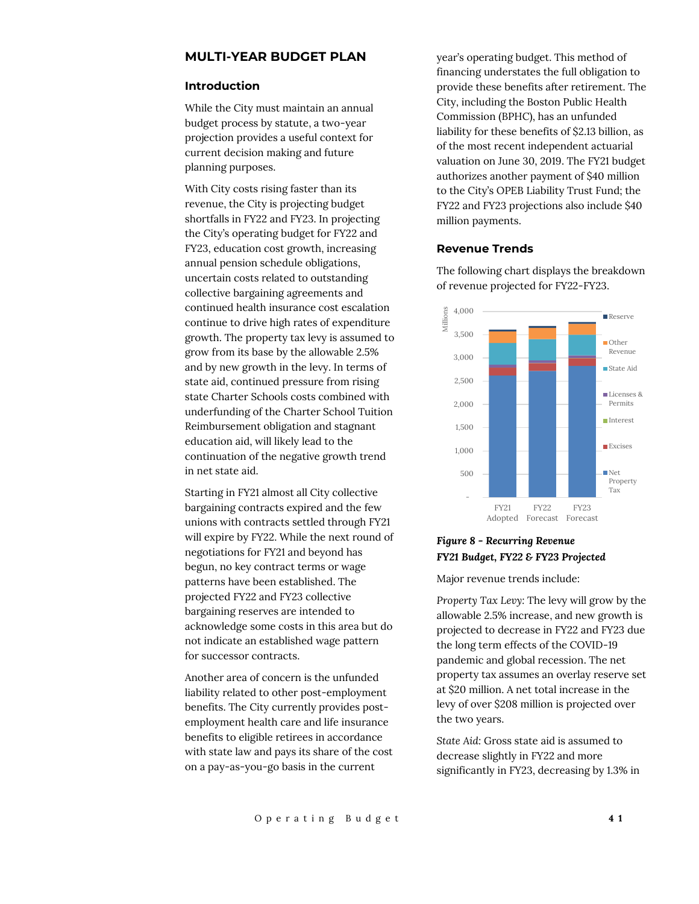## **MULTI-YEAR BUDGET PLAN**

#### **Introduction**

While the City must maintain an annual budget process by statute, a two-year projection provides a useful context for current decision making and future planning purposes.

With City costs rising faster than its revenue, the City is projecting budget shortfalls in FY22 and FY23. In projecting the City's operating budget for FY22 and FY23, education cost growth, increasing annual pension schedule obligations, uncertain costs related to outstanding collective bargaining agreements and continued health insurance cost escalation continue to drive high rates of expenditure growth. The property tax levy is assumed to grow from its base by the allowable 2.5% and by new growth in the levy. In terms of state aid, continued pressure from rising state Charter Schools costs combined with underfunding of the Charter School Tuition Reimbursement obligation and stagnant education aid, will likely lead to the continuation of the negative growth trend in net state aid.

Starting in FY21 almost all City collective bargaining contracts expired and the few unions with contracts settled through FY21 will expire by FY22. While the next round of negotiations for FY21 and beyond has begun, no key contract terms or wage patterns have been established. The projected FY22 and FY23 collective bargaining reserves are intended to acknowledge some costs in this area but do not indicate an established wage pattern for successor contracts.

Another area of concern is the unfunded liability related to other post-employment benefits. The City currently provides postemployment health care and life insurance benefits to eligible retirees in accordance with state law and pays its share of the cost on a pay-as-you-go basis in the current

year's operating budget. This method of financing understates the full obligation to provide these benefits after retirement. The City, including the Boston Public Health Commission (BPHC), has an unfunded liability for these benefits of \$2.13 billion, as of the most recent independent actuarial valuation on June 30, 2019. The FY21 budget authorizes another payment of \$40 million to the City's OPEB Liability Trust Fund; the FY22 and FY23 projections also include \$40 million payments.

#### **Revenue Trends**

The following chart displays the breakdown of revenue projected for FY22-FY23.



## *Figure 8 - Recurring Revenue FY21 Budget, FY22 & FY23 Projected*

Major revenue trends include:

*Property Tax Levy:* The levy will grow by the allowable 2.5% increase, and new growth is projected to decrease in FY22 and FY23 due the long term effects of the COVID-19 pandemic and global recession. The net property tax assumes an overlay reserve set at \$20 million. A net total increase in the levy of over \$208 million is projected over the two years.

*State Aid:* Gross state aid is assumed to decrease slightly in FY22 and more significantly in FY23, decreasing by 1.3% in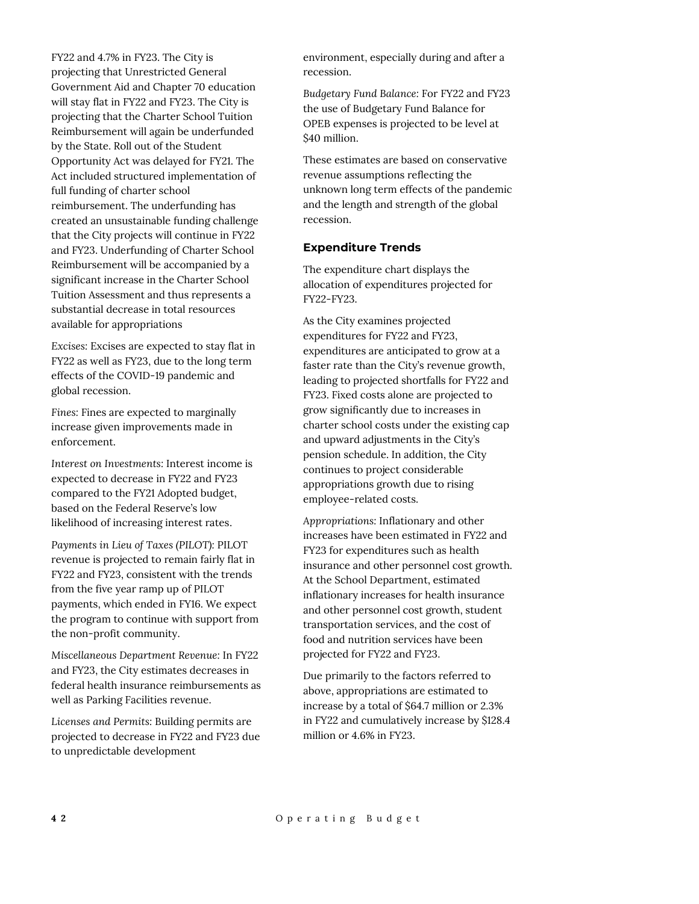FY22 and 4.7% in FY23. The City is projecting that Unrestricted General Government Aid and Chapter 70 education will stay flat in FY22 and FY23. The City is projecting that the Charter School Tuition Reimbursement will again be underfunded by the State. Roll out of the Student Opportunity Act was delayed for FY21. The Act included structured implementation of full funding of charter school reimbursement. The underfunding has created an unsustainable funding challenge that the City projects will continue in FY22 and FY23. Underfunding of Charter School Reimbursement will be accompanied by a significant increase in the Charter School Tuition Assessment and thus represents a substantial decrease in total resources available for appropriations

*Excises:* Excises are expected to stay flat in FY22 as well as FY23, due to the long term effects of the COVID-19 pandemic and global recession.

*Fines:* Fines are expected to marginally increase given improvements made in enforcement.

*Interest on Investments:* Interest income is expected to decrease in FY22 and FY23 compared to the FY21 Adopted budget, based on the Federal Reserve's low likelihood of increasing interest rates.

*Payments in Lieu of Taxes (PILOT):* PILOT revenue is projected to remain fairly flat in FY22 and FY23, consistent with the trends from the five year ramp up of PILOT payments, which ended in FY16. We expect the program to continue with support from the non-profit community.

*Miscellaneous Department Revenue:* In FY22 and FY23, the City estimates decreases in federal health insurance reimbursements as well as Parking Facilities revenue.

*Licenses and Permits:* Building permits are projected to decrease in FY22 and FY23 due to unpredictable development

environment, especially during and after a recession.

*Budgetary Fund Balance:* For FY22 and FY23 the use of Budgetary Fund Balance for OPEB expenses is projected to be level at \$40 million.

These estimates are based on conservative revenue assumptions reflecting the unknown long term effects of the pandemic and the length and strength of the global recession.

## **Expenditure Trends**

The expenditure chart displays the allocation of expenditures projected for FY22-FY23.

As the City examines projected expenditures for FY22 and FY23, expenditures are anticipated to grow at a faster rate than the City's revenue growth, leading to projected shortfalls for FY22 and FY23. Fixed costs alone are projected to grow significantly due to increases in charter school costs under the existing cap and upward adjustments in the City's pension schedule. In addition, the City continues to project considerable appropriations growth due to rising employee-related costs.

*Appropriations:* Inflationary and other increases have been estimated in FY22 and FY23 for expenditures such as health insurance and other personnel cost growth. At the School Department, estimated inflationary increases for health insurance and other personnel cost growth, student transportation services, and the cost of food and nutrition services have been projected for FY22 and FY23.

Due primarily to the factors referred to above, appropriations are estimated to increase by a total of \$64.7 million or 2.3% in FY22 and cumulatively increase by \$128.4 million or 4.6% in FY23.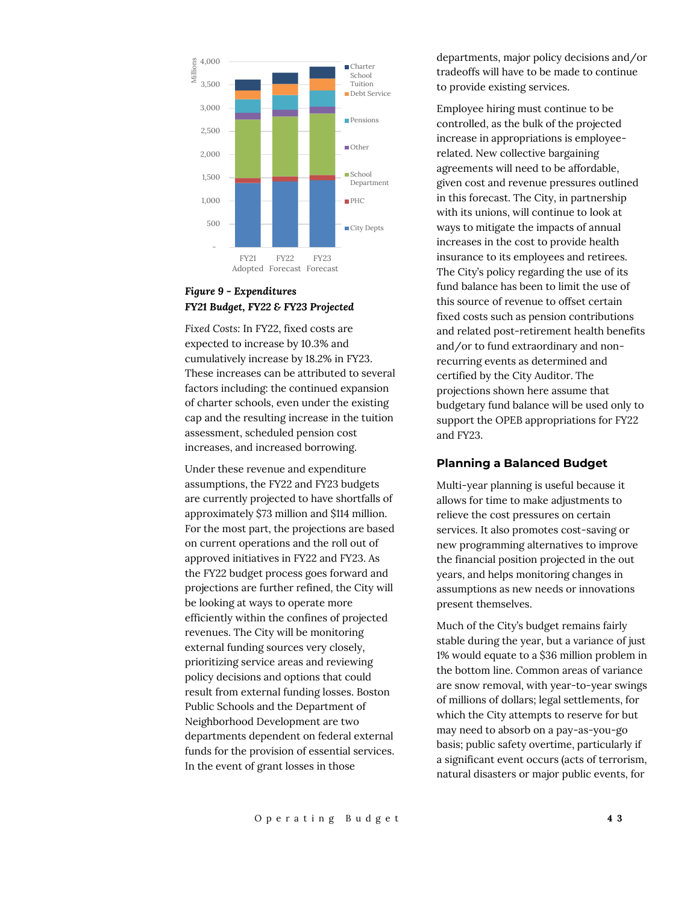

## *Figure 9 - Expenditures FY21 Budget, FY22 & FY23 Projected*

*Fixed Costs:* In FY22, fixed costs are expected to increase by 10.3% and cumulatively increase by 18.2% in FY23. These increases can be attributed to several factors including: the continued expansion of charter schools, even under the existing cap and the resulting increase in the tuition assessment, scheduled pension cost increases, and increased borrowing.

Under these revenue and expenditure assumptions, the FY22 and FY23 budgets are currently projected to have shortfalls of approximately \$73 million and \$114 million. For the most part, the projections are based on current operations and the roll out of approved initiatives in FY22 and FY23. As the FY22 budget process goes forward and projections are further refined, the City will be looking at ways to operate more efficiently within the confines of projected revenues. The City will be monitoring external funding sources very closely, prioritizing service areas and reviewing policy decisions and options that could result from external funding losses. Boston Public Schools and the Department of Neighborhood Development are two departments dependent on federal external funds for the provision of essential services. In the event of grant losses in those

departments, major policy decisions and/or tradeoffs will have to be made to continue to provide existing services.

Employee hiring must continue to be controlled, as the bulk of the projected increase in appropriations is employeerelated. New collective bargaining agreements will need to be affordable, given cost and revenue pressures outlined in this forecast. The City, in partnership with its unions, will continue to look at ways to mitigate the impacts of annual increases in the cost to provide health insurance to its employees and retirees. The City's policy regarding the use of its fund balance has been to limit the use of this source of revenue to offset certain fixed costs such as pension contributions and related post-retirement health benefits and/or to fund extraordinary and nonrecurring events as determined and certified by the City Auditor. The projections shown here assume that budgetary fund balance will be used only to support the OPEB appropriations for FY22 and FY23.

#### **Planning a Balanced Budget**

Multi-year planning is useful because it allows for time to make adjustments to relieve the cost pressures on certain services. It also promotes cost-saving or new programming alternatives to improve the financial position projected in the out years, and helps monitoring changes in assumptions as new needs or innovations present themselves.

Much of the City's budget remains fairly stable during the year, but a variance of just 1% would equate to a \$36 million problem in the bottom line. Common areas of variance are snow removal, with year-to-year swings of millions of dollars; legal settlements, for which the City attempts to reserve for but may need to absorb on a pay-as-you-go basis; public safety overtime, particularly if a significant event occurs (acts of terrorism, natural disasters or major public events, for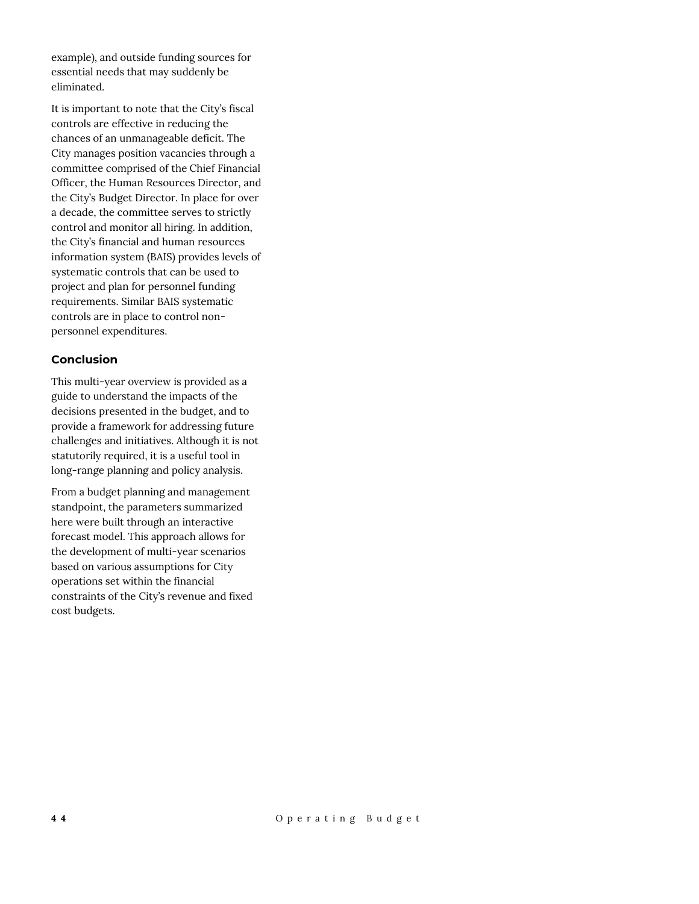example), and outside funding sources for essential needs that may suddenly be eliminated.

It is important to note that the City's fiscal controls are effective in reducing the chances of an unmanageable deficit. The City manages position vacancies through a committee comprised of the Chief Financial Officer, the Human Resources Director, and the City's Budget Director. In place for over a decade, the committee serves to strictly control and monitor all hiring. In addition, the City's financial and human resources information system (BAIS) provides levels of systematic controls that can be used to project and plan for personnel funding requirements. Similar BAIS systematic controls are in place to control nonpersonnel expenditures.

## **Conclusion**

This multi-year overview is provided as a guide to understand the impacts of the decisions presented in the budget, and to provide a framework for addressing future challenges and initiatives. Although it is not statutorily required, it is a useful tool in long-range planning and policy analysis.

From a budget planning and management standpoint, the parameters summarized here were built through an interactive forecast model. This approach allows for the development of multi-year scenarios based on various assumptions for City operations set within the financial constraints of the City's revenue and fixed cost budgets.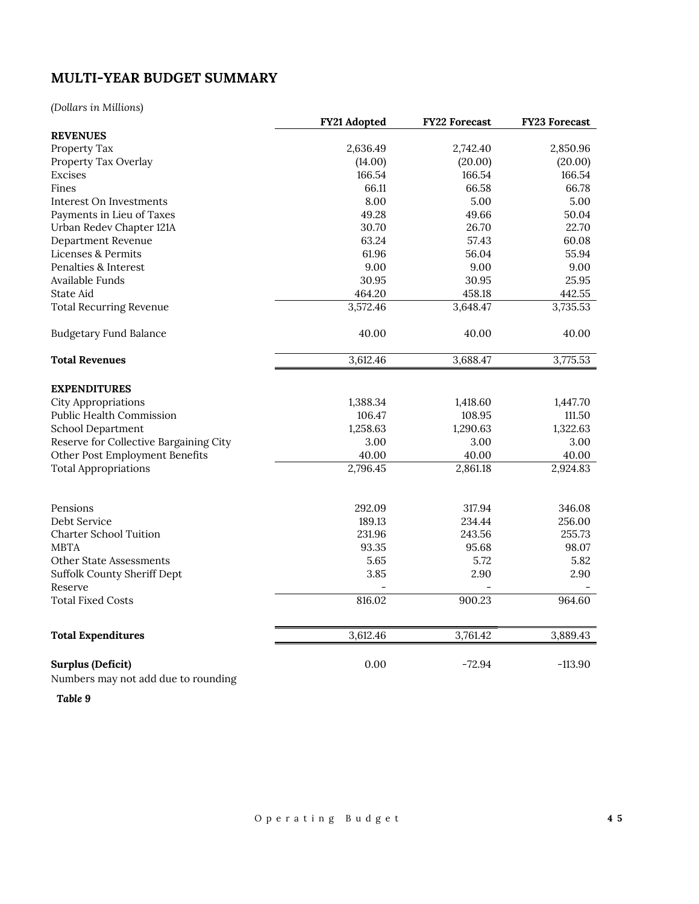# **MULTI-YEAR BUDGET SUMMARY**

*(Dollars in Millions)*

|                                        | FY21 Adopted | <b>FY22 Forecast</b> | <b>FY23 Forecast</b> |
|----------------------------------------|--------------|----------------------|----------------------|
| <b>REVENUES</b>                        |              |                      |                      |
| Property Tax                           | 2,636.49     | 2,742.40             | 2,850.96             |
| Property Tax Overlay                   | (14.00)      | (20.00)              | (20.00)              |
| <b>Excises</b>                         | 166.54       | 166.54               | 166.54               |
| Fines                                  | 66.11        | 66.58                | 66.78                |
| Interest On Investments                | 8.00         | 5.00                 | 5.00                 |
| Payments in Lieu of Taxes              | 49.28        | 49.66                | 50.04                |
| Urban Redev Chapter 121A               | 30.70        | 26.70                | 22.70                |
| Department Revenue                     | 63.24        | 57.43                | 60.08                |
| Licenses & Permits                     | 61.96        | 56.04                | 55.94                |
| Penalties & Interest                   | 9.00         | 9.00                 | 9.00                 |
| Available Funds                        | 30.95        | 30.95                | 25.95                |
| State Aid                              | 464.20       | 458.18               | 442.55               |
| <b>Total Recurring Revenue</b>         | 3,572.46     | 3,648.47             | 3,735.53             |
| <b>Budgetary Fund Balance</b>          | 40.00        | 40.00                | 40.00                |
| <b>Total Revenues</b>                  | 3,612.46     | 3,688.47             | 3,775.53             |
| <b>EXPENDITURES</b>                    |              |                      |                      |
| <b>City Appropriations</b>             | 1,388.34     | 1,418.60             | 1,447.70             |
| <b>Public Health Commission</b>        | 106.47       | 108.95               | 111.50               |
| School Department                      | 1,258.63     | 1,290.63             | 1,322.63             |
| Reserve for Collective Bargaining City | 3.00         | 3.00                 | 3.00                 |
| Other Post Employment Benefits         | 40.00        | 40.00                | 40.00                |
| <b>Total Appropriations</b>            | 2,796.45     | 2,861.18             | 2,924.83             |
|                                        |              |                      |                      |
| Pensions                               | 292.09       | 317.94               | 346.08               |
| Debt Service                           | 189.13       | 234.44               | 256.00               |
| <b>Charter School Tuition</b>          | 231.96       | 243.56               | 255.73               |
| <b>MBTA</b>                            | 93.35        | 95.68                | 98.07                |
| <b>Other State Assessments</b>         | 5.65         | 5.72                 | 5.82                 |
| Suffolk County Sheriff Dept            | 3.85         | 2.90                 | 2.90                 |
| Reserve                                |              |                      |                      |
| <b>Total Fixed Costs</b>               | 816.02       | 900.23               | 964.60               |
| <b>Total Expenditures</b>              | 3,612.46     | 3,761.42             | 3,889.43             |
|                                        |              |                      |                      |
| Surplus (Deficit)                      | 0.00         | $-72.94$             | $-113.90$            |

Numbers may not add due to rounding

*Table 9*